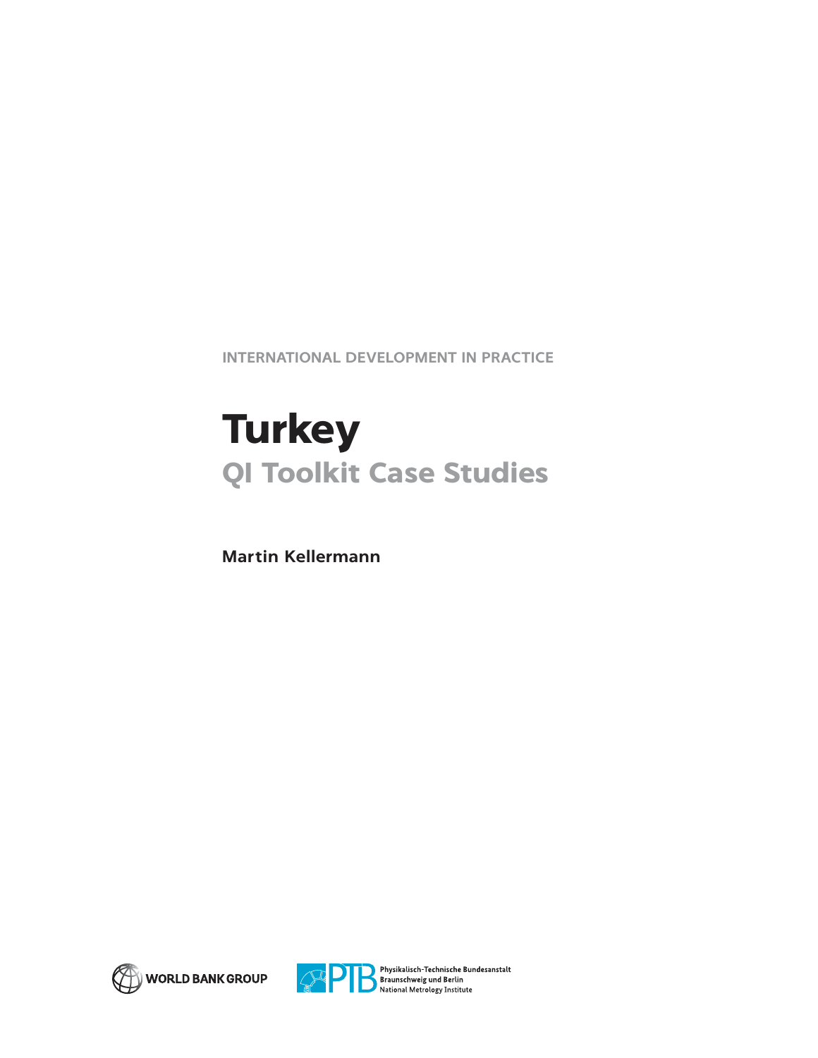**INTERNATIONAL DEVELOPMENT IN PRACTICE**

# **Turkey QI Toolkit Case Studies**

**Martin Kellermann**





Physikalisch-Technische Bundesanstalt Braunschweig und Berlin<br>National Metrology Institute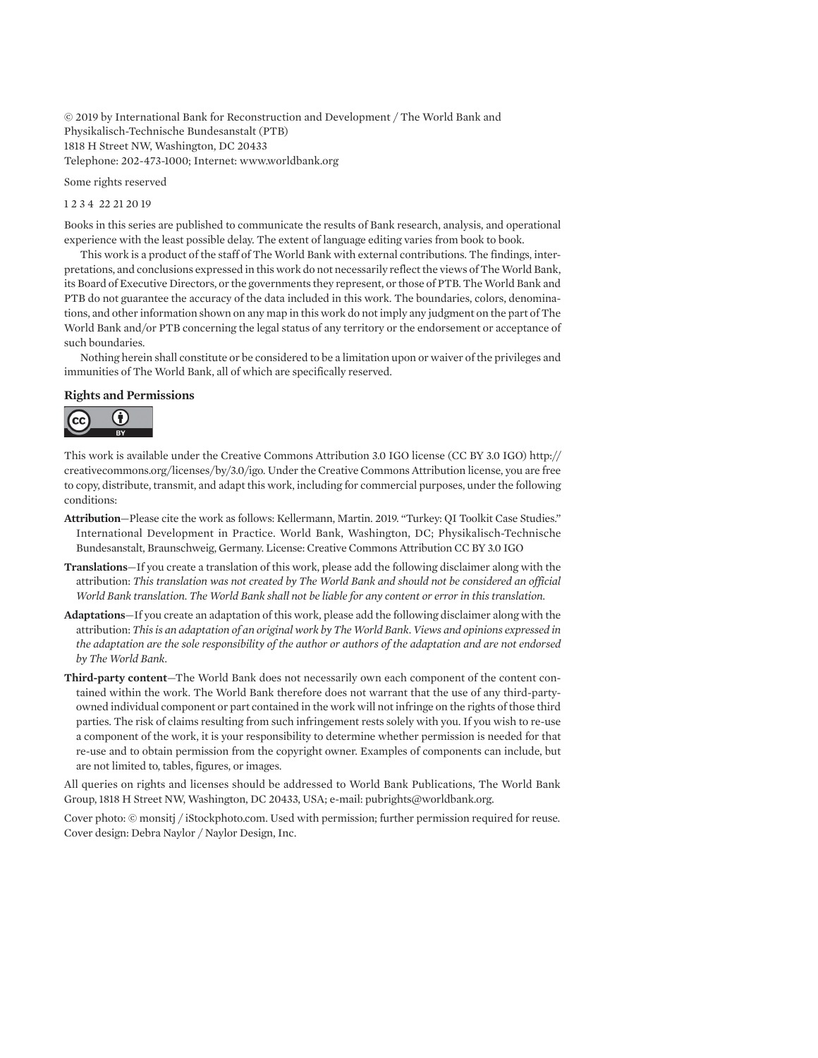© 2019 by International Bank for Reconstruction and Development / The World Bank and Physikalisch-Technische Bundesanstalt (PTB) 1818 H Street NW, Washington, DC 20433 Telephone: 202-473-1000; Internet: www.worldbank.org

Some rights reserved

1 2 3 4 22 21 20 19

Books in this series are published to communicate the results of Bank research, analysis, and operational experience with the least possible delay. The extent of language editing varies from book to book.

This work is a product of the staff of The World Bank with external contributions. The findings, interpretations, and conclusions expressed in this work do not necessarily reflect the views of The World Bank, its Board of Executive Directors, or the governments they represent, or those of PTB. The World Bank and PTB do not guarantee the accuracy of the data included in this work. The boundaries, colors, denominations, and other information shown on any map in this work do not imply any judgment on the part of The World Bank and/or PTB concerning the legal status of any territory or the endorsement or acceptance of such boundaries.

Nothing herein shall constitute or be considered to be a limitation upon or waiver of the privileges and immunities of The World Bank, all of which are specifically reserved.

#### **Rights and Permissions**



This work is available under the Creative Commons Attribution 3.0 IGO license (CC BY 3.0 IGO) http:// creativecommons.org/licenses/by/3.0/igo. Under the Creative Commons Attribution license, you are free to copy, distribute, transmit, and adapt this work, including for commercial purposes, under the following conditions:

- **Attribution**—Please cite the work as follows: Kellermann, Martin. 2019. "Turkey: QI Toolkit Case Studies." International Development in Practice. World Bank, Washington, DC; Physikalisch-Technische Bundesanstalt, Braunschweig, Germany. License: Creative Commons Attribution CC BY 3.0 IGO
- **Translations**—If you create a translation of this work, please add the following disclaimer along with the attribution: *This translation was not created by The World Bank and should not be considered an official World Bank translation. The World Bank shall not be liable for any content or error in this translation.*
- **Adaptations**—If you create an adaptation of this work, please add the following disclaimer along with the attribution: *This is an adaptation of an original work by The World Bank. Views and opinions expressed in the adaptation are the sole responsibility of the author or authors of the adaptation and are not endorsed by The World Bank.*
- **Third-party content**—The World Bank does not necessarily own each component of the content contained within the work. The World Bank therefore does not warrant that the use of any third-partyowned individual component or part contained in the work will not infringe on the rights of those third parties. The risk of claims resulting from such infringement rests solely with you. If you wish to re-use a component of the work, it is your responsibility to determine whether permission is needed for that re-use and to obtain permission from the copyright owner. Examples of components can include, but are not limited to, tables, figures, or images.

All queries on rights and licenses should be addressed to World Bank Publications, The World Bank Group, 1818 H Street NW, Washington, DC 20433, USA; e-mail: pubrights@worldbank.org.

Cover photo: © monsitj / iStockphoto.com. Used with permission; further permission required for reuse. Cover design: Debra Naylor / Naylor Design, Inc.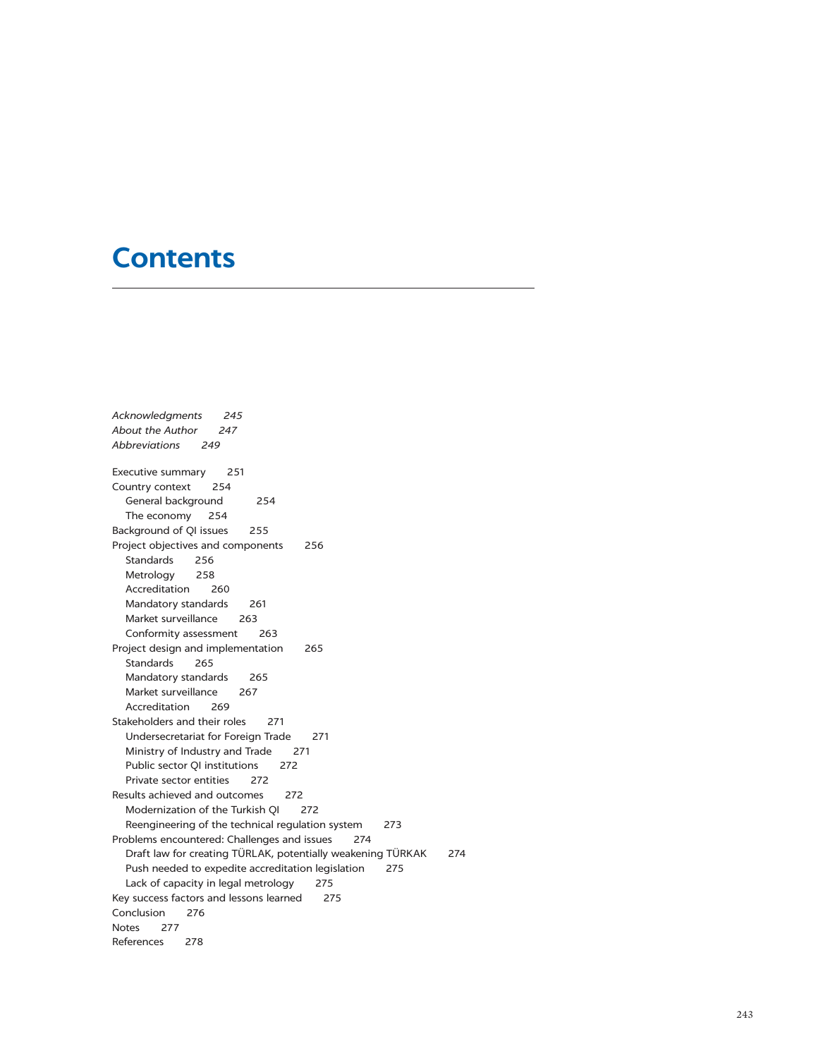## **Contents**

*Acknowledgments 245 About the Author 247 Abbreviations 249* Executive summary 251 Country context 254 General background 254 The economy 254 Background of QI issues 255 Project objectives and components 256 Standards 256 Metrology 258 Accreditation 260 Mandatory standards 261 Market surveillance 263 Conformity assessment 263 Project design and implementation 265 Standards 265 Mandatory standards 265 Market surveillance 267 Accreditation 269 Stakeholders and their roles 271 Undersecretariat for Foreign Trade 271 Ministry of Industry and Trade 271 Public sector QI institutions 272 Private sector entities 272 Results achieved and outcomes 272 Modernization of the Turkish QI 272 Reengineering of the technical regulation system 273 Problems encountered: Challenges and issues 274 Draft law for creating TÜRLAK, potentially weakening TÜRKAK 274 Push needed to expedite accreditation legislation 275 Lack of capacity in legal metrology 275 Key success factors and lessons learned 275 Conclusion 276 Notes 277 References 278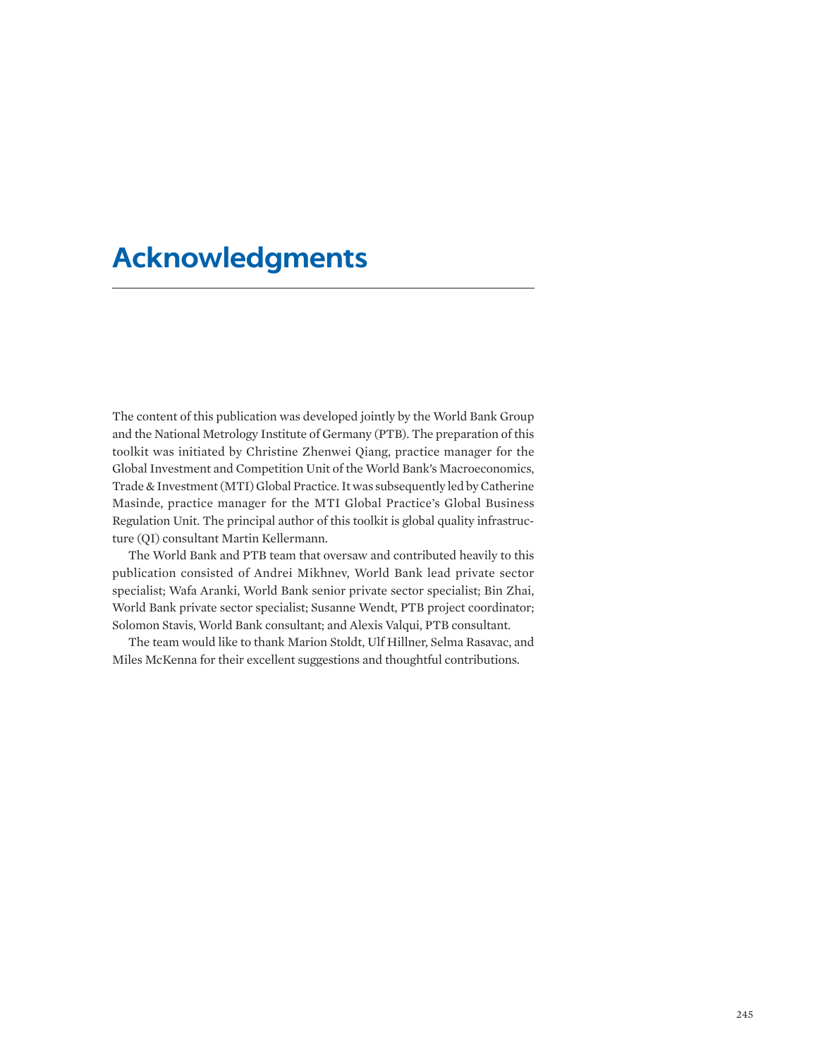## **Acknowledgments**

The content of this publication was developed jointly by the World Bank Group and the National Metrology Institute of Germany (PTB). The preparation of this toolkit was initiated by Christine Zhenwei Qiang, practice manager for the Global Investment and Competition Unit of the World Bank's Macroeconomics, Trade & Investment (MTI) Global Practice. It was subsequently led by Catherine Masinde, practice manager for the MTI Global Practice's Global Business Regulation Unit. The principal author of this toolkit is global quality infrastructure (QI) consultant Martin Kellermann.

The World Bank and PTB team that oversaw and contributed heavily to this publication consisted of Andrei Mikhnev, World Bank lead private sector specialist; Wafa Aranki, World Bank senior private sector specialist; Bin Zhai, World Bank private sector specialist; Susanne Wendt, PTB project coordinator; Solomon Stavis, World Bank consultant; and Alexis Valqui, PTB consultant.

The team would like to thank Marion Stoldt, Ulf Hillner, Selma Rasavac, and Miles McKenna for their excellent suggestions and thoughtful contributions.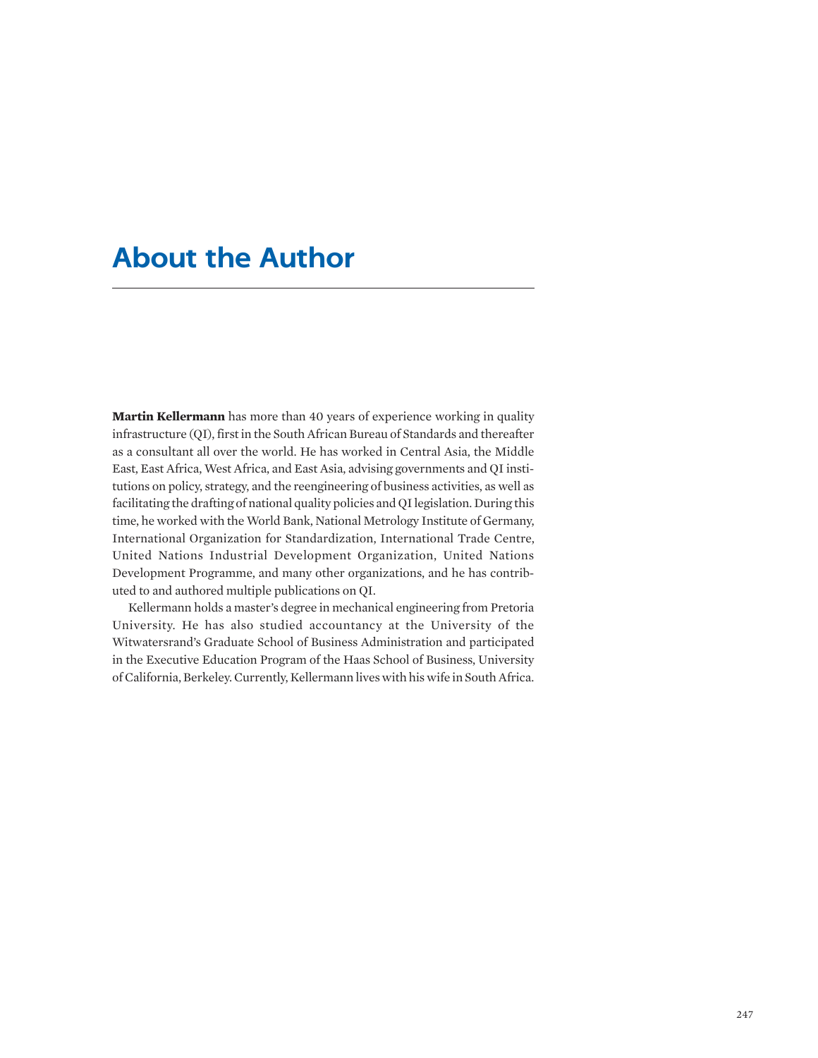## **About the Author**

**Martin Kellermann** has more than 40 years of experience working in quality infrastructure (QI), first in the South African Bureau of Standards and thereafter as a consultant all over the world. He has worked in Central Asia, the Middle East, East Africa, West Africa, and East Asia, advising governments and QI institutions on policy, strategy, and the reengineering of business activities, as well as facilitating the drafting of national quality policies and QI legislation. During this time, he worked with the World Bank, National Metrology Institute of Germany, International Organization for Standardization, International Trade Centre, United Nations Industrial Development Organization, United Nations Development Programme, and many other organizations, and he has contributed to and authored multiple publications on QI.

Kellermann holds a master's degree in mechanical engineering from Pretoria University. He has also studied accountancy at the University of the Witwatersrand's Graduate School of Business Administration and participated in the Executive Education Program of the Haas School of Business, University of California, Berkeley. Currently, Kellermann lives with his wife in South Africa.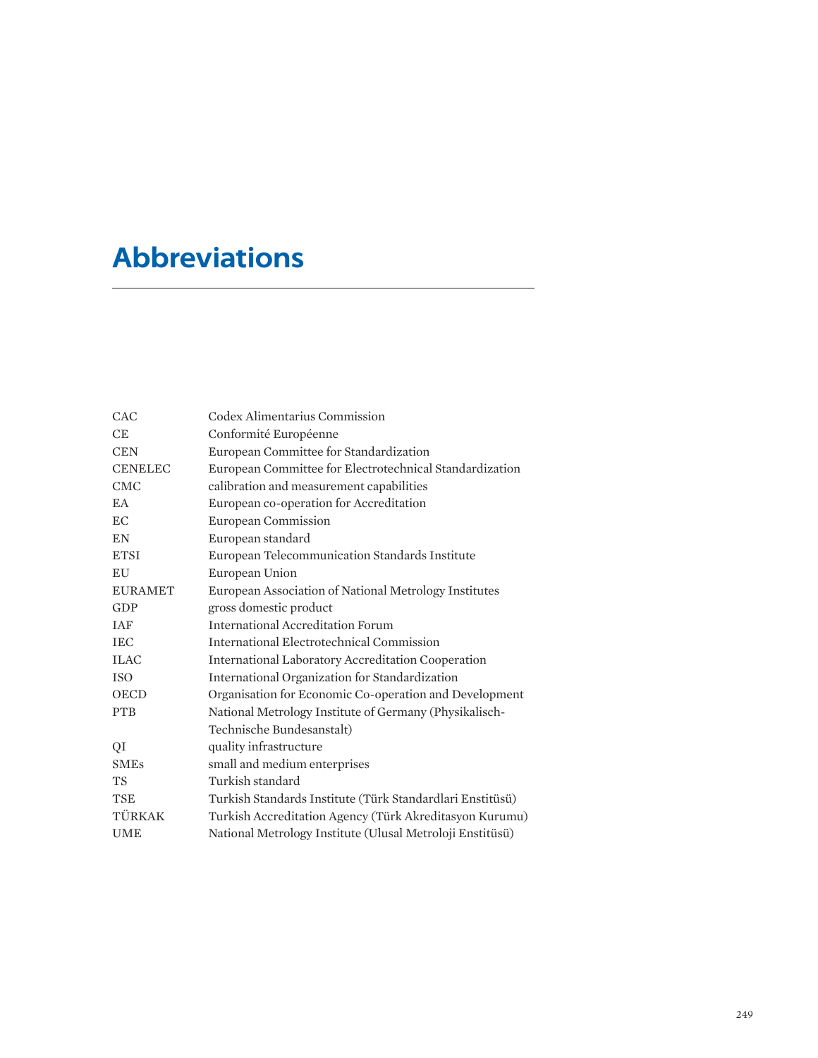## **Abbreviations**

| CAC            | Codex Alimentarius Commission                             |  |
|----------------|-----------------------------------------------------------|--|
| CE             | Conformité Européenne                                     |  |
| <b>CEN</b>     | European Committee for Standardization                    |  |
| <b>CENELEC</b> | European Committee for Electrotechnical Standardization   |  |
| <b>CMC</b>     | calibration and measurement capabilities                  |  |
| EA             | European co-operation for Accreditation                   |  |
| EC.            | European Commission                                       |  |
| EN             | European standard                                         |  |
| <b>ETSI</b>    | European Telecommunication Standards Institute            |  |
| EU             | European Union                                            |  |
| <b>EURAMET</b> | European Association of National Metrology Institutes     |  |
| GDP            | gross domestic product                                    |  |
| <b>TAF</b>     | <b>International Accreditation Forum</b>                  |  |
| <b>TEC</b>     | <b>International Electrotechnical Commission</b>          |  |
| <b>ILAC</b>    | <b>International Laboratory Accreditation Cooperation</b> |  |
| <b>ISO</b>     | International Organization for Standardization            |  |
| <b>OECD</b>    | Organisation for Economic Co-operation and Development    |  |
| <b>PTB</b>     | National Metrology Institute of Germany (Physikalisch-    |  |
|                | Technische Bundesanstalt)                                 |  |
| QI             | quality infrastructure                                    |  |
| <b>SMEs</b>    | small and medium enterprises                              |  |
| <b>TS</b>      | Turkish standard                                          |  |
| <b>TSE</b>     | Turkish Standards Institute (Türk Standardlari Enstitüsü) |  |
| TÜRKAK         | Turkish Accreditation Agency (Türk Akreditasyon Kurumu)   |  |
| <b>UME</b>     | National Metrology Institute (Ulusal Metroloji Enstitüsü) |  |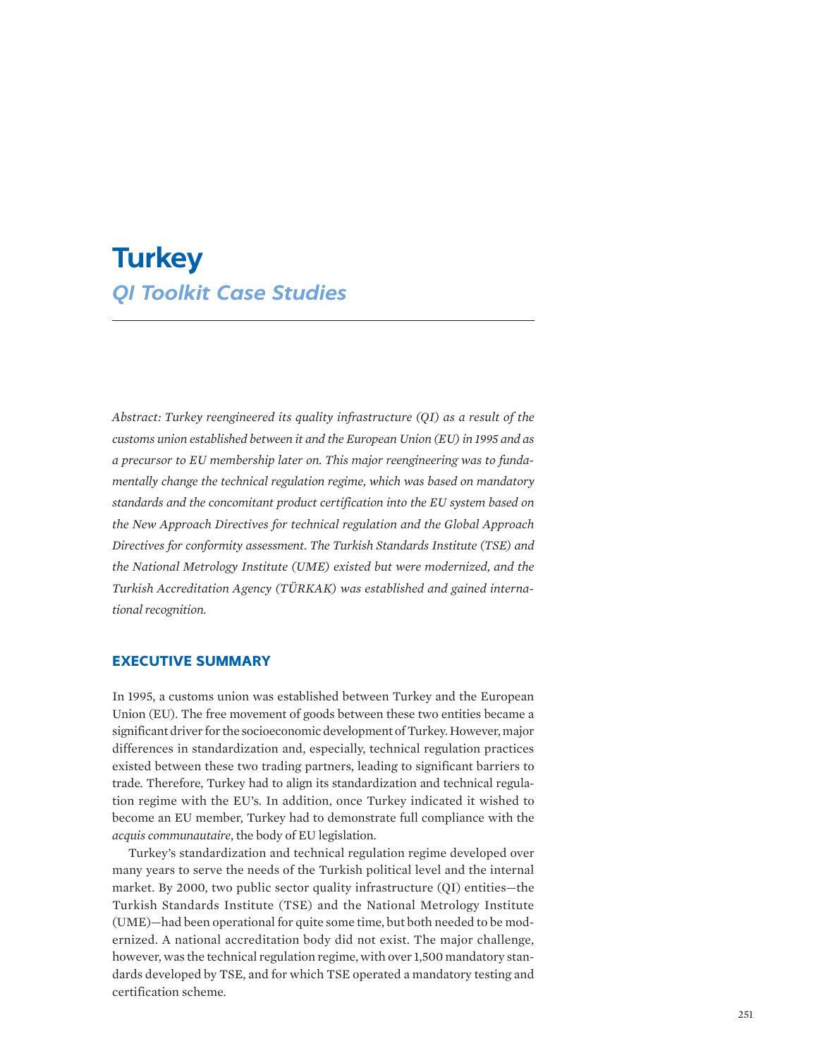## **Turkey** *QI Toolkit Case Studies*

*Abstract: Turkey reengineered its quality infrastructure (QI) as a result of the customs union established between it and the European Union (EU) in 1995 and as a precursor to EU membership later on. This major reengineering was to fundamentally change the technical regulation regime, which was based on mandatory standards and the concomitant product certification into the EU system based on the New Approach Directives for technical regulation and the Global Approach Directives for conformity assessment. The Turkish Standards Institute (TSE) and the National Metrology Institute (UME) existed but were modernized, and the Turkish Accreditation Agency (TÜRKAK) was established and gained international recognition.*

## **EXECUTIVE SUMMARY**

In 1995, a customs union was established between Turkey and the European Union (EU). The free movement of goods between these two entities became a significant driver for the socioeconomic development of Turkey. However, major differences in standardization and, especially, technical regulation practices existed between these two trading partners, leading to significant barriers to trade. Therefore, Turkey had to align its standardization and technical regulation regime with the EU's. In addition, once Turkey indicated it wished to become an EU member, Turkey had to demonstrate full compliance with the *acquis communautaire*, the body of EU legislation.

Turkey's standardization and technical regulation regime developed over many years to serve the needs of the Turkish political level and the internal market. By 2000, two public sector quality infrastructure (QI) entities—the Turkish Standards Institute (TSE) and the National Metrology Institute (UME)—had been operational for quite some time, but both needed to be modernized. A national accreditation body did not exist. The major challenge, however, was the technical regulation regime, with over 1,500 mandatory standards developed by TSE, and for which TSE operated a mandatory testing and certification scheme.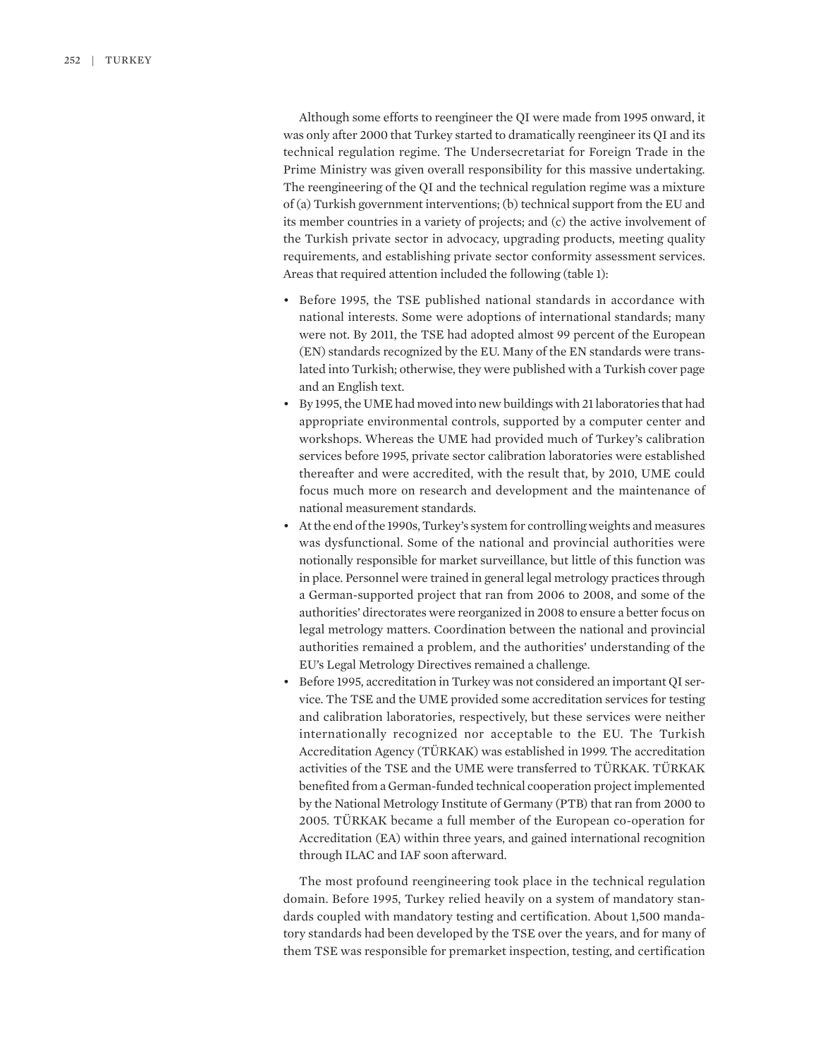Although some efforts to reengineer the QI were made from 1995 onward, it was only after 2000 that Turkey started to dramatically reengineer its QI and its technical regulation regime. The Undersecretariat for Foreign Trade in the Prime Ministry was given overall responsibility for this massive undertaking. The reengineering of the QI and the technical regulation regime was a mixture of (a) Turkish government interventions; (b) technical support from the EU and its member countries in a variety of projects; and (c) the active involvement of the Turkish private sector in advocacy, upgrading products, meeting quality requirements, and establishing private sector conformity assessment services. Areas that required attention included the following (table 1):

- Before 1995, the TSE published national standards in accordance with national interests. Some were adoptions of international standards; many were not. By 2011, the TSE had adopted almost 99 percent of the European (EN) standards recognized by the EU. Many of the EN standards were translated into Turkish; otherwise, they were published with a Turkish cover page and an English text.
- By 1995, the UME had moved into new buildings with 21 laboratories that had appropriate environmental controls, supported by a computer center and workshops. Whereas the UME had provided much of Turkey's calibration services before 1995, private sector calibration laboratories were established thereafter and were accredited, with the result that, by 2010, UME could focus much more on research and development and the maintenance of national measurement standards.
- At the end of the 1990s, Turkey's system for controlling weights and measures was dysfunctional. Some of the national and provincial authorities were notionally responsible for market surveillance, but little of this function was in place. Personnel were trained in general legal metrology practices through a German-supported project that ran from 2006 to 2008, and some of the authorities' directorates were reorganized in 2008 to ensure a better focus on legal metrology matters. Coordination between the national and provincial authorities remained a problem, and the authorities' understanding of the EU's Legal Metrology Directives remained a challenge.
- Before 1995, accreditation in Turkey was not considered an important QI service. The TSE and the UME provided some accreditation services for testing and calibration laboratories, respectively, but these services were neither internationally recognized nor acceptable to the EU. The Turkish Accreditation Agency (TÜRKAK) was established in 1999. The accreditation activities of the TSE and the UME were transferred to TÜRKAK. TÜRKAK benefited from a German-funded technical cooperation project implemented by the National Metrology Institute of Germany (PTB) that ran from 2000 to 2005. TÜRKAK became a full member of the European co-operation for Accreditation (EA) within three years, and gained international recognition through ILAC and IAF soon afterward.

The most profound reengineering took place in the technical regulation domain. Before 1995, Turkey relied heavily on a system of mandatory standards coupled with mandatory testing and certification. About 1,500 mandatory standards had been developed by the TSE over the years, and for many of them TSE was responsible for premarket inspection, testing, and certification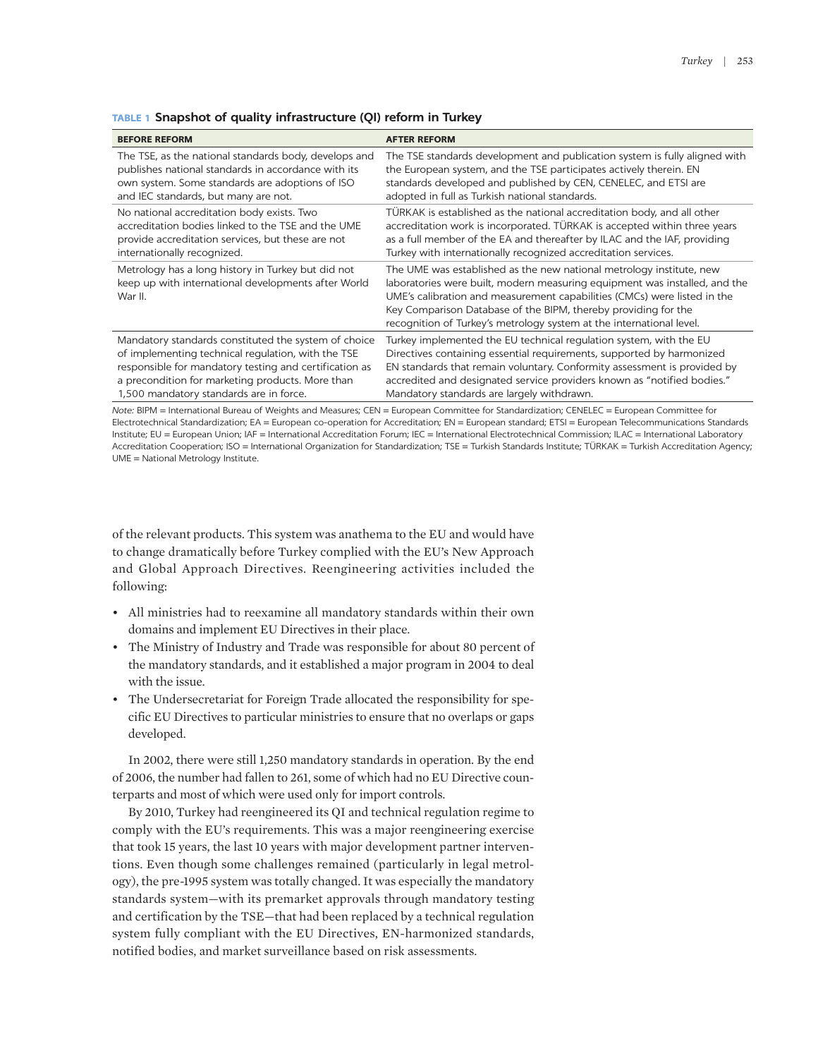| <b>BEFORE REFORM</b>                                                                                                 | <b>AFTER REFORM</b>                                                                                                                                                                                                                                                                                                                                                      |
|----------------------------------------------------------------------------------------------------------------------|--------------------------------------------------------------------------------------------------------------------------------------------------------------------------------------------------------------------------------------------------------------------------------------------------------------------------------------------------------------------------|
| The TSE, as the national standards body, develops and                                                                | The TSE standards development and publication system is fully aligned with                                                                                                                                                                                                                                                                                               |
| publishes national standards in accordance with its                                                                  | the European system, and the TSE participates actively therein. EN                                                                                                                                                                                                                                                                                                       |
| own system. Some standards are adoptions of ISO                                                                      | standards developed and published by CEN, CENELEC, and ETSI are                                                                                                                                                                                                                                                                                                          |
| and IEC standards, but many are not.                                                                                 | adopted in full as Turkish national standards.                                                                                                                                                                                                                                                                                                                           |
| No national accreditation body exists. Two                                                                           | TÜRKAK is established as the national accreditation body, and all other                                                                                                                                                                                                                                                                                                  |
| accreditation bodies linked to the TSE and the UME                                                                   | accreditation work is incorporated. TÜRKAK is accepted within three years                                                                                                                                                                                                                                                                                                |
| provide accreditation services, but these are not                                                                    | as a full member of the EA and thereafter by ILAC and the IAF, providing                                                                                                                                                                                                                                                                                                 |
| internationally recognized.                                                                                          | Turkey with internationally recognized accreditation services.                                                                                                                                                                                                                                                                                                           |
| Metrology has a long history in Turkey but did not<br>keep up with international developments after World<br>War II. | The UME was established as the new national metrology institute, new<br>laboratories were built, modern measuring equipment was installed, and the<br>UME's calibration and measurement capabilities (CMCs) were listed in the<br>Key Comparison Database of the BIPM, thereby providing for the<br>recognition of Turkey's metrology system at the international level. |
| Mandatory standards constituted the system of choice                                                                 | Turkey implemented the EU technical regulation system, with the EU                                                                                                                                                                                                                                                                                                       |
| of implementing technical regulation, with the TSE                                                                   | Directives containing essential requirements, supported by harmonized                                                                                                                                                                                                                                                                                                    |
| responsible for mandatory testing and certification as                                                               | EN standards that remain voluntary. Conformity assessment is provided by                                                                                                                                                                                                                                                                                                 |
| a precondition for marketing products. More than                                                                     | accredited and designated service providers known as "notified bodies."                                                                                                                                                                                                                                                                                                  |
| 1,500 mandatory standards are in force.                                                                              | Mandatory standards are largely withdrawn.                                                                                                                                                                                                                                                                                                                               |

**TABLE 1 Snapshot of quality infrastructure (QI) reform in Turkey**

*Note:* BIPM = International Bureau of Weights and Measures; CEN = European Committee for Standardization; CENELEC = European Committee for Electrotechnical Standardization; EA = European co-operation for Accreditation; EN = European standard; ETSI = European Telecommunications Standards Institute; EU = European Union; IAF = International Accreditation Forum; IEC = International Electrotechnical Commission; ILAC = International Laboratory Accreditation Cooperation; ISO = International Organization for Standardization; TSE = Turkish Standards Institute; TÜRKAK = Turkish Accreditation Agency; UME = National Metrology Institute.

of the relevant products. This system was anathema to the EU and would have to change dramatically before Turkey complied with the EU's New Approach and Global Approach Directives. Reengineering activities included the following:

- All ministries had to reexamine all mandatory standards within their own domains and implement EU Directives in their place.
- The Ministry of Industry and Trade was responsible for about 80 percent of the mandatory standards, and it established a major program in 2004 to deal with the issue.
- The Undersecretariat for Foreign Trade allocated the responsibility for specific EU Directives to particular ministries to ensure that no overlaps or gaps developed.

In 2002, there were still 1,250 mandatory standards in operation. By the end of 2006, the number had fallen to 261, some of which had no EU Directive counterparts and most of which were used only for import controls.

By 2010, Turkey had reengineered its QI and technical regulation regime to comply with the EU's requirements. This was a major reengineering exercise that took 15 years, the last 10 years with major development partner interventions. Even though some challenges remained (particularly in legal metrology), the pre-1995 system was totally changed. It was especially the mandatory standards system—with its premarket approvals through mandatory testing and certification by the TSE—that had been replaced by a technical regulation system fully compliant with the EU Directives, EN-harmonized standards, notified bodies, and market surveillance based on risk assessments.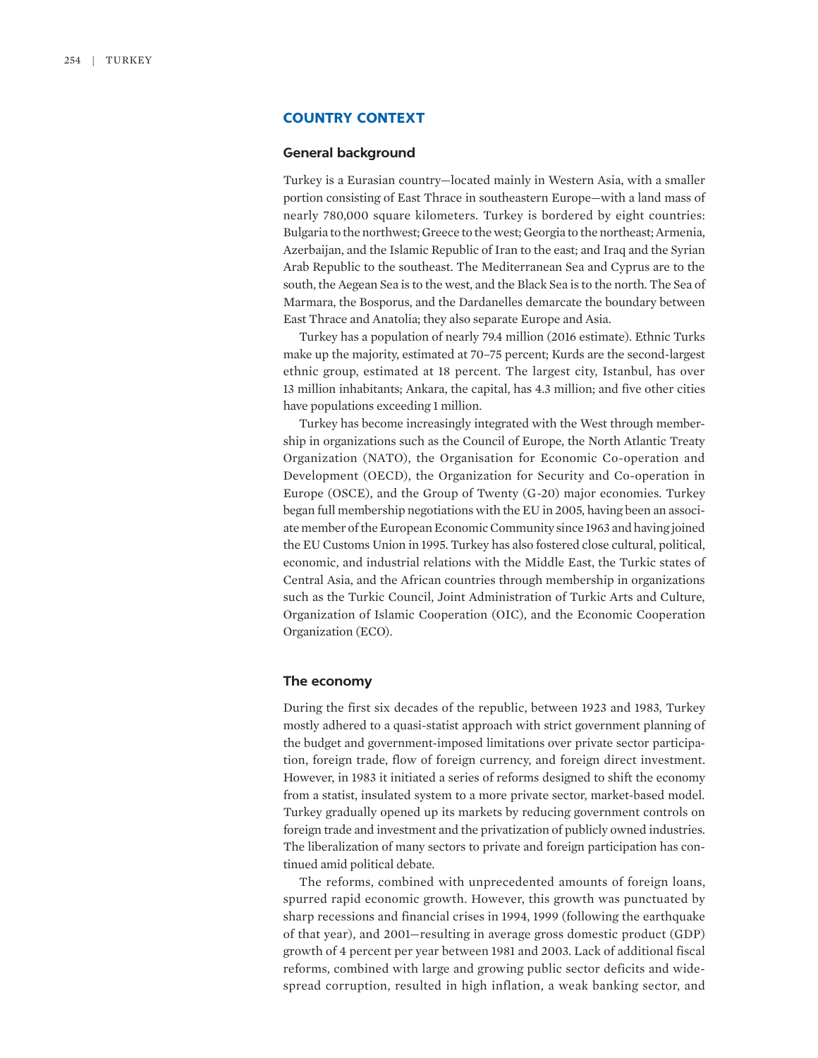## **COUNTRY CONTEXT**

## **General background**

Turkey is a Eurasian country—located mainly in Western Asia, with a smaller portion consisting of East Thrace in southeastern Europe—with a land mass of nearly 780,000 square kilometers. Turkey is bordered by eight countries: Bulgaria to the northwest; Greece to the west; Georgia to the northeast; Armenia, Azerbaijan, and the Islamic Republic of Iran to the east; and Iraq and the Syrian Arab Republic to the southeast. The Mediterranean Sea and Cyprus are to the south, the Aegean Sea is to the west, and the Black Sea is to the north. The Sea of Marmara, the Bosporus, and the Dardanelles demarcate the boundary between East Thrace and Anatolia; they also separate Europe and Asia.

Turkey has a population of nearly 79.4 million (2016 estimate). Ethnic Turks make up the majority, estimated at 70–75 percent; Kurds are the second-largest ethnic group, estimated at 18 percent. The largest city, Istanbul, has over 13 million inhabitants; Ankara, the capital, has 4.3 million; and five other cities have populations exceeding 1 million.

Turkey has become increasingly integrated with the West through membership in organizations such as the Council of Europe, the North Atlantic Treaty Organization (NATO), the Organisation for Economic Co-operation and Development (OECD), the Organization for Security and Co-operation in Europe (OSCE), and the Group of Twenty (G-20) major economies. Turkey began full membership negotiations with the EU in 2005, having been an associate member of the European Economic Community since 1963 and having joined the EU Customs Union in 1995. Turkey has also fostered close cultural, political, economic, and industrial relations with the Middle East, the Turkic states of Central Asia, and the African countries through membership in organizations such as the Turkic Council, Joint Administration of Turkic Arts and Culture, Organization of Islamic Cooperation (OIC), and the Economic Cooperation Organization (ECO).

## **The economy**

During the first six decades of the republic, between 1923 and 1983, Turkey mostly adhered to a quasi-statist approach with strict government planning of the budget and government-imposed limitations over private sector participation, foreign trade, flow of foreign currency, and foreign direct investment. However, in 1983 it initiated a series of reforms designed to shift the economy from a statist, insulated system to a more private sector, market-based model. Turkey gradually opened up its markets by reducing government controls on foreign trade and investment and the privatization of publicly owned industries. The liberalization of many sectors to private and foreign participation has continued amid political debate.

The reforms, combined with unprecedented amounts of foreign loans, spurred rapid economic growth. However, this growth was punctuated by sharp recessions and financial crises in 1994, 1999 (following the earthquake of that year), and 2001—resulting in average gross domestic product (GDP) growth of 4 percent per year between 1981 and 2003. Lack of additional fiscal reforms, combined with large and growing public sector deficits and widespread corruption, resulted in high inflation, a weak banking sector, and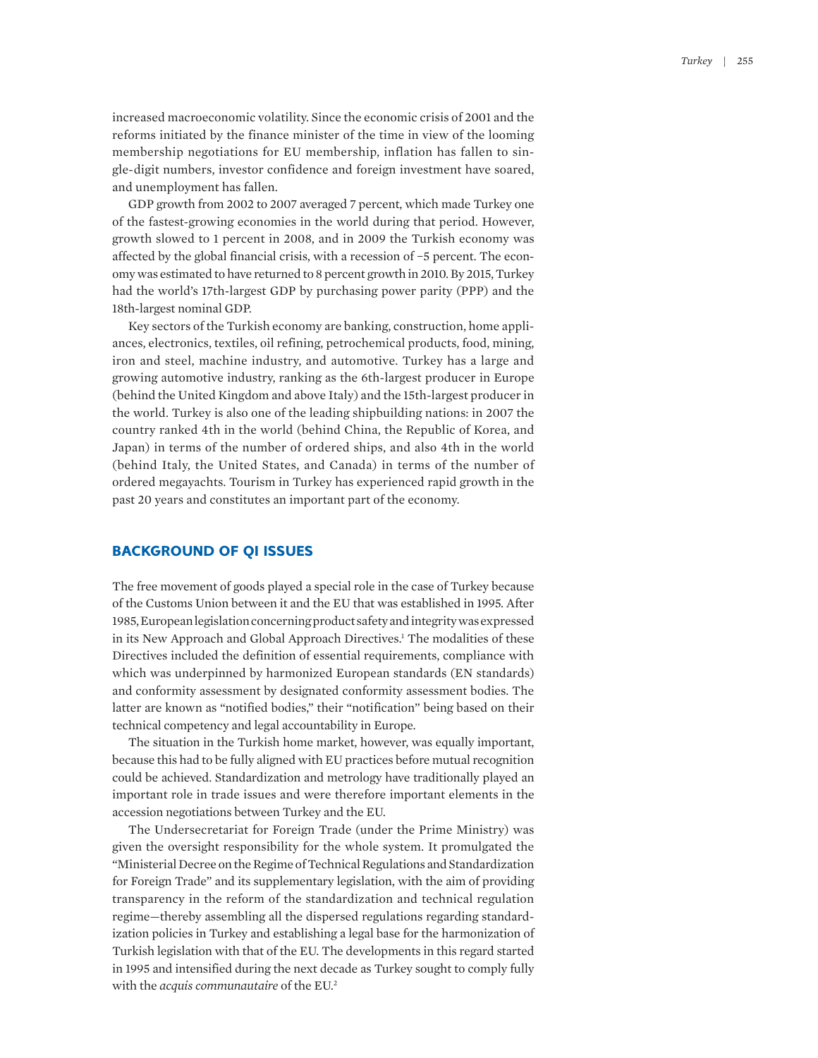increased macroeconomic volatility. Since the economic crisis of 2001 and the reforms initiated by the finance minister of the time in view of the looming membership negotiations for EU membership, inflation has fallen to single-digit numbers, investor confidence and foreign investment have soared, and unemployment has fallen.

GDP growth from 2002 to 2007 averaged 7 percent, which made Turkey one of the fastest-growing economies in the world during that period. However, growth slowed to 1 percent in 2008, and in 2009 the Turkish economy was affected by the global financial crisis, with a recession of −5 percent. The economy was estimated to have returned to 8 percent growth in 2010. By 2015, Turkey had the world's 17th-largest GDP by purchasing power parity (PPP) and the 18th-largest nominal GDP.

Key sectors of the Turkish economy are banking, construction, home appliances, electronics, textiles, oil refining, petrochemical products, food, mining, iron and steel, machine industry, and automotive. Turkey has a large and growing automotive industry, ranking as the 6th-largest producer in Europe (behind the United Kingdom and above Italy) and the 15th-largest producer in the world. Turkey is also one of the leading shipbuilding nations: in 2007 the country ranked 4th in the world (behind China, the Republic of Korea, and Japan) in terms of the number of ordered ships, and also 4th in the world (behind Italy, the United States, and Canada) in terms of the number of ordered megayachts. Tourism in Turkey has experienced rapid growth in the past 20 years and constitutes an important part of the economy.

## **BACKGROUND OF QI ISSUES**

The free movement of goods played a special role in the case of Turkey because of the Customs Union between it and the EU that was established in 1995. After 1985, European legislation concerning product safety and integrity was expressed in its New Approach and Global Approach Directives.<sup>1</sup> The modalities of these Directives included the definition of essential requirements, compliance with which was underpinned by harmonized European standards (EN standards) and conformity assessment by designated conformity assessment bodies. The latter are known as "notified bodies," their "notification" being based on their technical competency and legal accountability in Europe.

The situation in the Turkish home market, however, was equally important, because this had to be fully aligned with EU practices before mutual recognition could be achieved. Standardization and metrology have traditionally played an important role in trade issues and were therefore important elements in the accession negotiations between Turkey and the EU.

The Undersecretariat for Foreign Trade (under the Prime Ministry) was given the oversight responsibility for the whole system. It promulgated the "Ministerial Decree on the Regime of Technical Regulations and Standardization for Foreign Trade" and its supplementary legislation, with the aim of providing transparency in the reform of the standardization and technical regulation regime—thereby assembling all the dispersed regulations regarding standardization policies in Turkey and establishing a legal base for the harmonization of Turkish legislation with that of the EU. The developments in this regard started in 1995 and intensified during the next decade as Turkey sought to comply fully with the *acquis communautaire* of the EU.2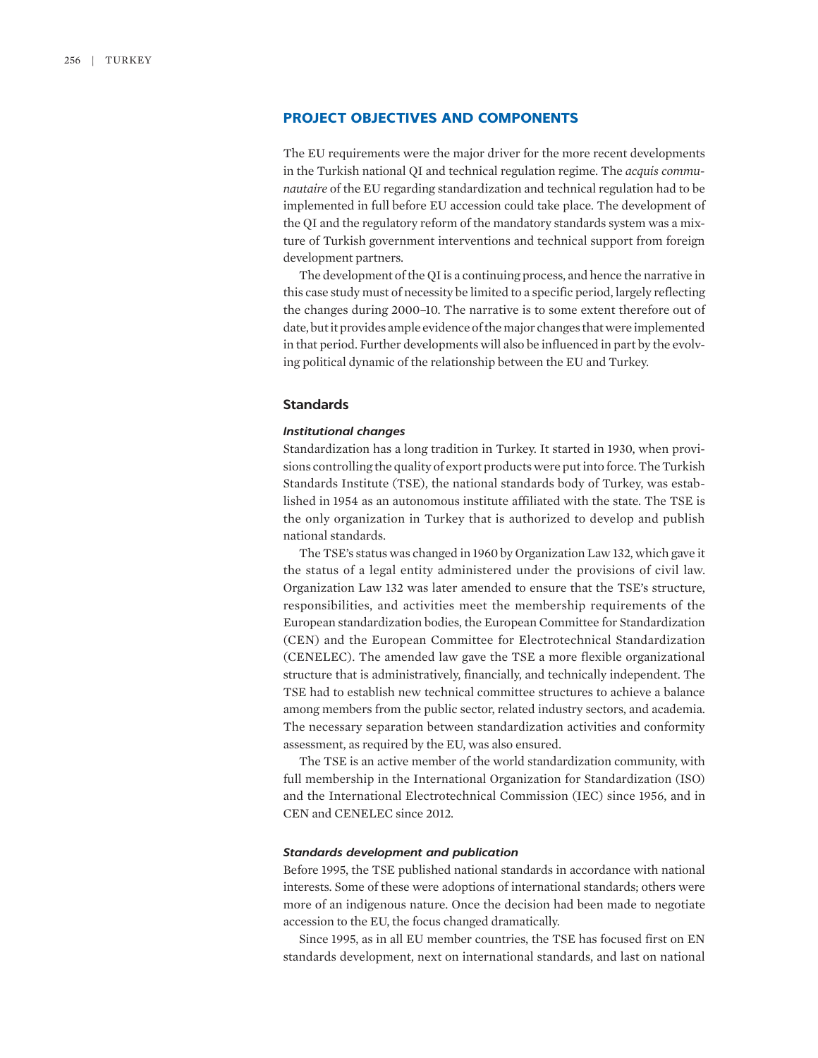## **PROJECT OBJECTIVES AND COMPONENTS**

The EU requirements were the major driver for the more recent developments in the Turkish national QI and technical regulation regime. The *acquis communautaire* of the EU regarding standardization and technical regulation had to be implemented in full before EU accession could take place*.* The development of the QI and the regulatory reform of the mandatory standards system was a mixture of Turkish government interventions and technical support from foreign development partners.

The development of the QI is a continuing process, and hence the narrative in this case study must of necessity be limited to a specific period, largely reflecting the changes during 2000–10. The narrative is to some extent therefore out of date, but it provides ample evidence of the major changes that were implemented in that period. Further developments will also be influenced in part by the evolving political dynamic of the relationship between the EU and Turkey.

## **Standards**

## *Institutional changes*

Standardization has a long tradition in Turkey. It started in 1930, when provisions controlling the quality of export products were put into force. The Turkish Standards Institute (TSE), the national standards body of Turkey, was established in 1954 as an autonomous institute affiliated with the state. The TSE is the only organization in Turkey that is authorized to develop and publish national standards.

The TSE's status was changed in 1960 by Organization Law 132, which gave it the status of a legal entity administered under the provisions of civil law. Organization Law 132 was later amended to ensure that the TSE's structure, responsibilities, and activities meet the membership requirements of the European standardization bodies, the European Committee for Standardization (CEN) and the European Committee for Electrotechnical Standardization (CENELEC). The amended law gave the TSE a more flexible organizational structure that is administratively, financially, and technically independent. The TSE had to establish new technical committee structures to achieve a balance among members from the public sector, related industry sectors, and academia. The necessary separation between standardization activities and conformity assessment, as required by the EU, was also ensured.

The TSE is an active member of the world standardization community, with full membership in the International Organization for Standardization (ISO) and the International Electrotechnical Commission (IEC) since 1956, and in CEN and CENELEC since 2012.

## *Standards development and publication*

Before 1995, the TSE published national standards in accordance with national interests. Some of these were adoptions of international standards; others were more of an indigenous nature. Once the decision had been made to negotiate accession to the EU, the focus changed dramatically.

Since 1995, as in all EU member countries, the TSE has focused first on EN standards development, next on international standards, and last on national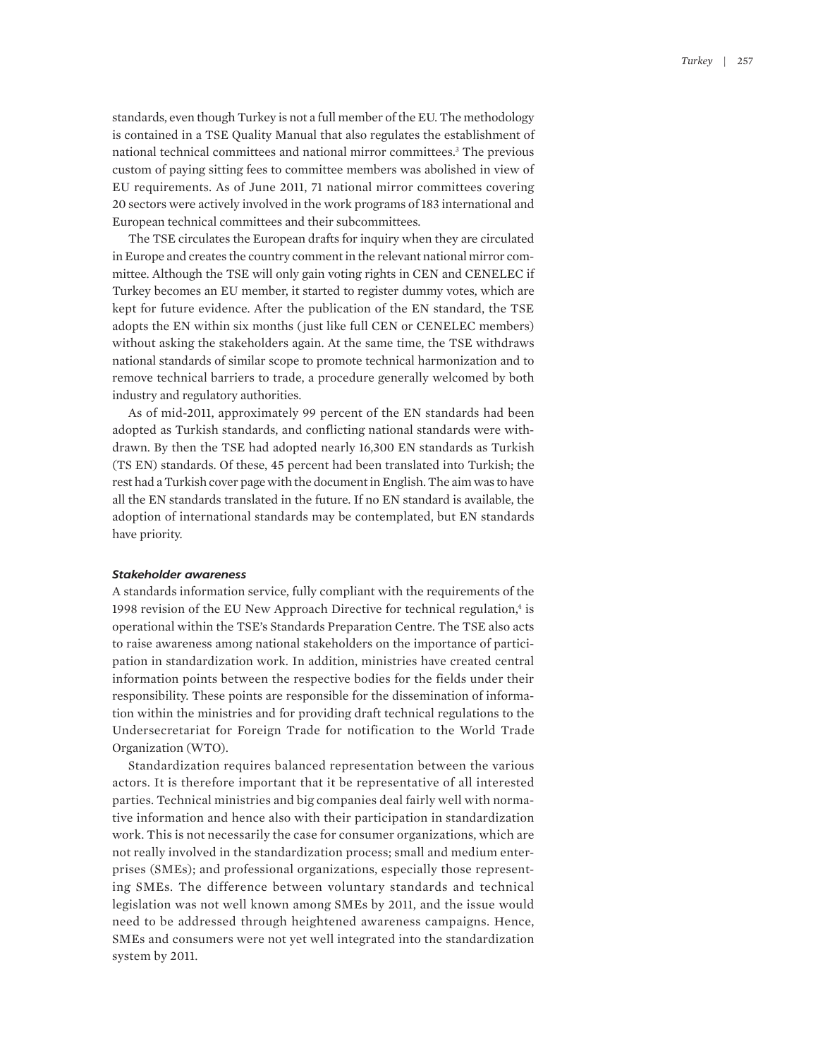standards, even though Turkey is not a full member of the EU. The methodology is contained in a TSE Quality Manual that also regulates the establishment of national technical committees and national mirror committees.<sup>3</sup> The previous custom of paying sitting fees to committee members was abolished in view of EU requirements. As of June 2011, 71 national mirror committees covering 20 sectors were actively involved in the work programs of 183 international and European technical committees and their subcommittees.

The TSE circulates the European drafts for inquiry when they are circulated in Europe and creates the country comment in the relevant national mirror committee. Although the TSE will only gain voting rights in CEN and CENELEC if Turkey becomes an EU member, it started to register dummy votes, which are kept for future evidence. After the publication of the EN standard, the TSE adopts the EN within six months ( just like full CEN or CENELEC members) without asking the stakeholders again. At the same time, the TSE withdraws national standards of similar scope to promote technical harmonization and to remove technical barriers to trade, a procedure generally welcomed by both industry and regulatory authorities.

As of mid-2011, approximately 99 percent of the EN standards had been adopted as Turkish standards, and conflicting national standards were withdrawn. By then the TSE had adopted nearly 16,300 EN standards as Turkish (TS EN) standards. Of these, 45 percent had been translated into Turkish; the rest had a Turkish cover page with the document in English. The aim was to have all the EN standards translated in the future. If no EN standard is available, the adoption of international standards may be contemplated, but EN standards have priority.

## *Stakeholder awareness*

A standards information service, fully compliant with the requirements of the 1998 revision of the EU New Approach Directive for technical regulation,<sup>4</sup> is operational within the TSE's Standards Preparation Centre. The TSE also acts to raise awareness among national stakeholders on the importance of participation in standardization work. In addition, ministries have created central information points between the respective bodies for the fields under their responsibility. These points are responsible for the dissemination of information within the ministries and for providing draft technical regulations to the Undersecretariat for Foreign Trade for notification to the World Trade Organization (WTO).

Standardization requires balanced representation between the various actors. It is therefore important that it be representative of all interested parties. Technical ministries and big companies deal fairly well with normative information and hence also with their participation in standardization work. This is not necessarily the case for consumer organizations, which are not really involved in the standardization process; small and medium enterprises (SMEs); and professional organizations, especially those representing SMEs. The difference between voluntary standards and technical legislation was not well known among SMEs by 2011, and the issue would need to be addressed through heightened awareness campaigns. Hence, SMEs and consumers were not yet well integrated into the standardization system by 2011.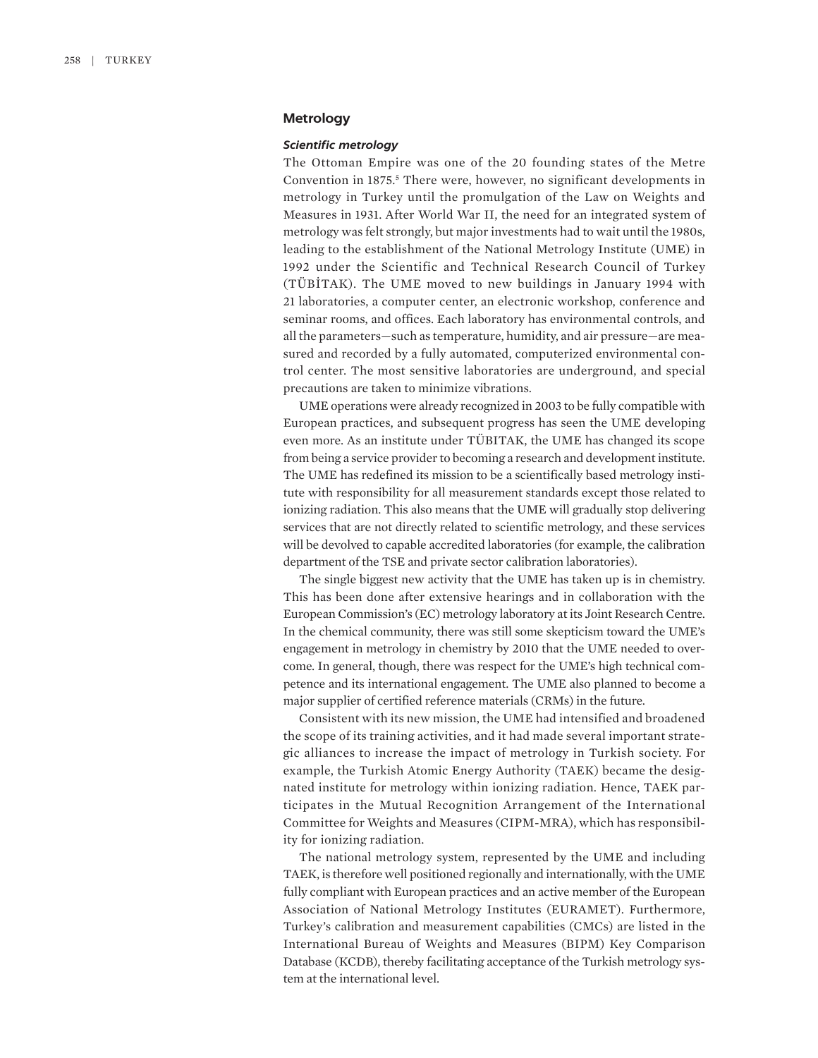## **Metrology**

#### *Scientific metrology*

The Ottoman Empire was one of the 20 founding states of the Metre Convention in 1875.<sup>5</sup> There were, however, no significant developments in metrology in Turkey until the promulgation of the Law on Weights and Measures in 1931. After World War II, the need for an integrated system of metrology was felt strongly, but major investments had to wait until the 1980s, leading to the establishment of the National Metrology Institute (UME) in 1992 under the Scientific and Technical Research Council of Turkey (TÜBİTAK). The UME moved to new buildings in January 1994 with 21 laboratories, a computer center, an electronic workshop, conference and seminar rooms, and offices. Each laboratory has environmental controls, and all the parameters—such as temperature, humidity, and air pressure—are measured and recorded by a fully automated, computerized environmental control center. The most sensitive laboratories are underground, and special precautions are taken to minimize vibrations.

UME operations were already recognized in 2003 to be fully compatible with European practices, and subsequent progress has seen the UME developing even more. As an institute under TÜBITAK, the UME has changed its scope from being a service provider to becoming a research and development institute. The UME has redefined its mission to be a scientifically based metrology institute with responsibility for all measurement standards except those related to ionizing radiation. This also means that the UME will gradually stop delivering services that are not directly related to scientific metrology, and these services will be devolved to capable accredited laboratories (for example, the calibration department of the TSE and private sector calibration laboratories).

The single biggest new activity that the UME has taken up is in chemistry. This has been done after extensive hearings and in collaboration with the European Commission's (EC) metrology laboratory at its Joint Research Centre. In the chemical community, there was still some skepticism toward the UME's engagement in metrology in chemistry by 2010 that the UME needed to overcome. In general, though, there was respect for the UME's high technical competence and its international engagement. The UME also planned to become a major supplier of certified reference materials (CRMs) in the future.

Consistent with its new mission, the UME had intensified and broadened the scope of its training activities, and it had made several important strategic alliances to increase the impact of metrology in Turkish society. For example, the Turkish Atomic Energy Authority (TAEK) became the designated institute for metrology within ionizing radiation. Hence, TAEK participates in the Mutual Recognition Arrangement of the International Committee for Weights and Measures (CIPM-MRA), which has responsibility for ionizing radiation.

The national metrology system, represented by the UME and including TAEK, is therefore well positioned regionally and internationally, with the UME fully compliant with European practices and an active member of the European Association of National Metrology Institutes (EURAMET). Furthermore, Turkey's calibration and measurement capabilities (CMCs) are listed in the International Bureau of Weights and Measures (BIPM) Key Comparison Database (KCDB), thereby facilitating acceptance of the Turkish metrology system at the international level.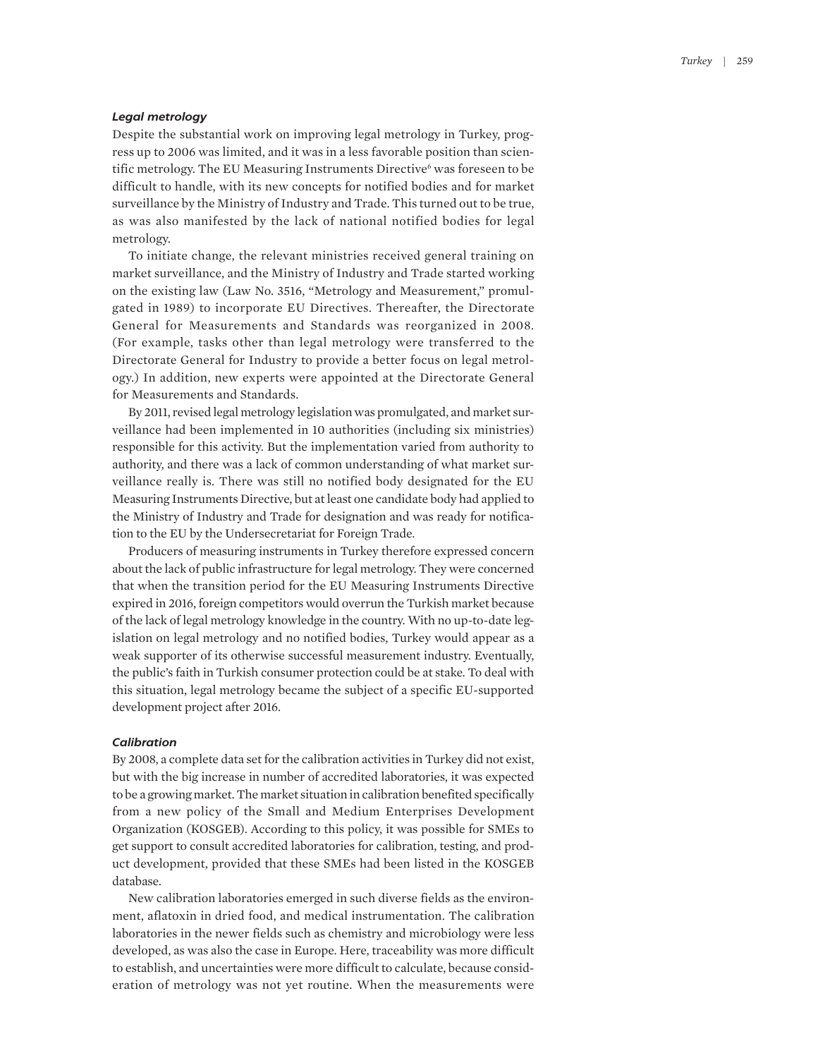## *Legal metrology*

Despite the substantial work on improving legal metrology in Turkey, progress up to 2006 was limited, and it was in a less favorable position than scientific metrology. The EU Measuring Instruments Directive<sup>6</sup> was foreseen to be difficult to handle, with its new concepts for notified bodies and for market surveillance by the Ministry of Industry and Trade. This turned out to be true, as was also manifested by the lack of national notified bodies for legal metrology.

To initiate change, the relevant ministries received general training on market surveillance, and the Ministry of Industry and Trade started working on the existing law (Law No. 3516, "Metrology and Measurement," promulgated in 1989) to incorporate EU Directives. Thereafter, the Directorate General for Measurements and Standards was reorganized in 2008. (For example, tasks other than legal metrology were transferred to the Directorate General for Industry to provide a better focus on legal metrology.) In addition, new experts were appointed at the Directorate General for Measurements and Standards.

By 2011, revised legal metrology legislation was promulgated, and market surveillance had been implemented in 10 authorities (including six ministries) responsible for this activity. But the implementation varied from authority to authority, and there was a lack of common understanding of what market surveillance really is. There was still no notified body designated for the EU Measuring Instruments Directive, but at least one candidate body had applied to the Ministry of Industry and Trade for designation and was ready for notification to the EU by the Undersecretariat for Foreign Trade.

Producers of measuring instruments in Turkey therefore expressed concern about the lack of public infrastructure for legal metrology. They were concerned that when the transition period for the EU Measuring Instruments Directive expired in 2016, foreign competitors would overrun the Turkish market because of the lack of legal metrology knowledge in the country. With no up-to-date legislation on legal metrology and no notified bodies, Turkey would appear as a weak supporter of its otherwise successful measurement industry. Eventually, the public's faith in Turkish consumer protection could be at stake. To deal with this situation, legal metrology became the subject of a specific EU-supported development project after 2016.

## *Calibration*

By 2008, a complete data set for the calibration activities in Turkey did not exist, but with the big increase in number of accredited laboratories, it was expected to be a growing market. The market situation in calibration benefited specifically from a new policy of the Small and Medium Enterprises Development Organization (KOSGEB). According to this policy, it was possible for SMEs to get support to consult accredited laboratories for calibration, testing, and product development, provided that these SMEs had been listed in the KOSGEB database.

New calibration laboratories emerged in such diverse fields as the environment, aflatoxin in dried food, and medical instrumentation. The calibration laboratories in the newer fields such as chemistry and microbiology were less developed, as was also the case in Europe. Here, traceability was more difficult to establish, and uncertainties were more difficult to calculate, because consideration of metrology was not yet routine. When the measurements were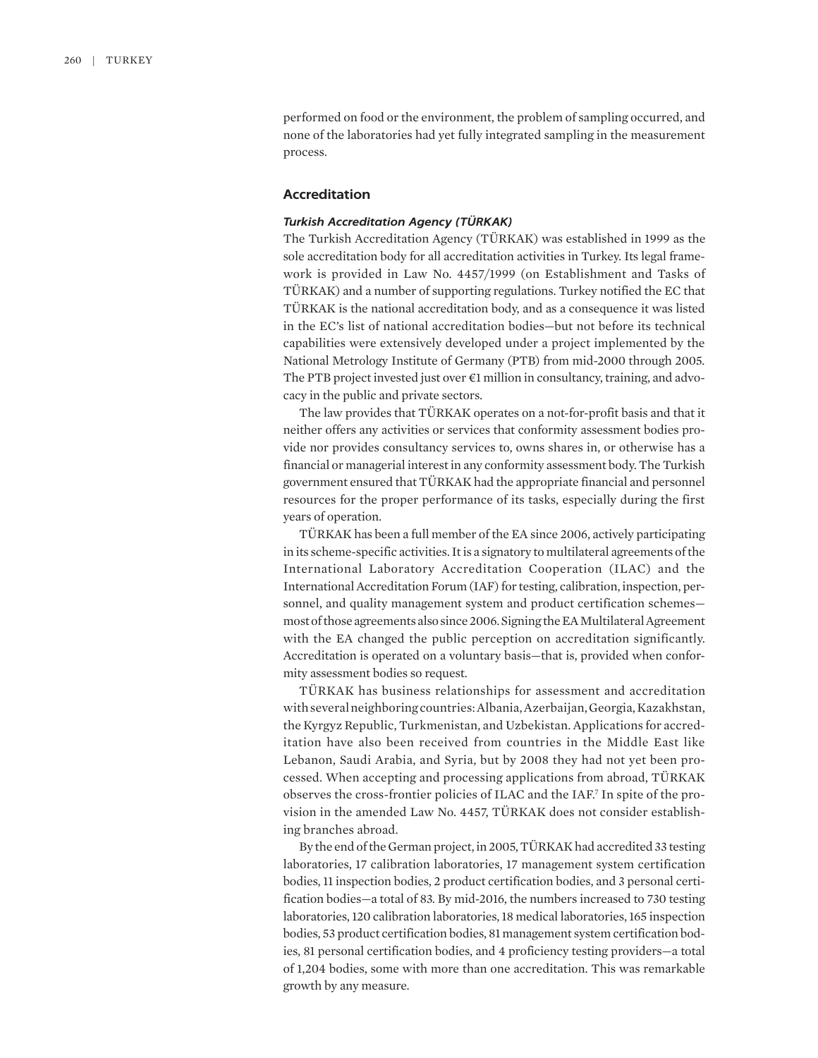performed on food or the environment, the problem of sampling occurred, and none of the laboratories had yet fully integrated sampling in the measurement process.

## **Accreditation**

## *Turkish Accreditation Agency (TÜRKAK)*

The Turkish Accreditation Agency (TÜRKAK) was established in 1999 as the sole accreditation body for all accreditation activities in Turkey. Its legal framework is provided in Law No. 4457/1999 (on Establishment and Tasks of TÜRKAK) and a number of supporting regulations. Turkey notified the EC that TÜRKAK is the national accreditation body, and as a consequence it was listed in the EC's list of national accreditation bodies—but not before its technical capabilities were extensively developed under a project implemented by the National Metrology Institute of Germany (PTB) from mid-2000 through 2005. The PTB project invested just over €1 million in consultancy, training, and advocacy in the public and private sectors.

The law provides that TÜRKAK operates on a not-for-profit basis and that it neither offers any activities or services that conformity assessment bodies provide nor provides consultancy services to, owns shares in, or otherwise has a financial or managerial interest in any conformity assessment body. The Turkish government ensured that TÜRKAK had the appropriate financial and personnel resources for the proper performance of its tasks, especially during the first years of operation.

TÜRKAK has been a full member of the EA since 2006, actively participating in its scheme-specific activities. It is a signatory to multilateral agreements of the International Laboratory Accreditation Cooperation (ILAC) and the International Accreditation Forum (IAF) for testing, calibration, inspection, personnel, and quality management system and product certification schemes most of those agreements also since 2006. Signing the EA Multilateral Agreement with the EA changed the public perception on accreditation significantly. Accreditation is operated on a voluntary basis—that is, provided when conformity assessment bodies so request.

TÜRKAK has business relationships for assessment and accreditation with several neighboring countries: Albania, Azerbaijan, Georgia, Kazakhstan, the Kyrgyz Republic, Turkmenistan, and Uzbekistan. Applications for accreditation have also been received from countries in the Middle East like Lebanon, Saudi Arabia, and Syria, but by 2008 they had not yet been processed. When accepting and processing applications from abroad, TÜRKAK observes the cross-frontier policies of ILAC and the IAF.<sup>7</sup> In spite of the provision in the amended Law No. 4457, TÜRKAK does not consider establishing branches abroad.

By the end of the German project, in 2005, TÜRKAK had accredited 33 testing laboratories, 17 calibration laboratories, 17 management system certification bodies, 11 inspection bodies, 2 product certification bodies, and 3 personal certification bodies—a total of 83. By mid-2016, the numbers increased to 730 testing laboratories, 120 calibration laboratories, 18 medical laboratories, 165 inspection bodies, 53 product certification bodies, 81 management system certification bodies, 81 personal certification bodies, and 4 proficiency testing providers—a total of 1,204 bodies, some with more than one accreditation. This was remarkable growth by any measure.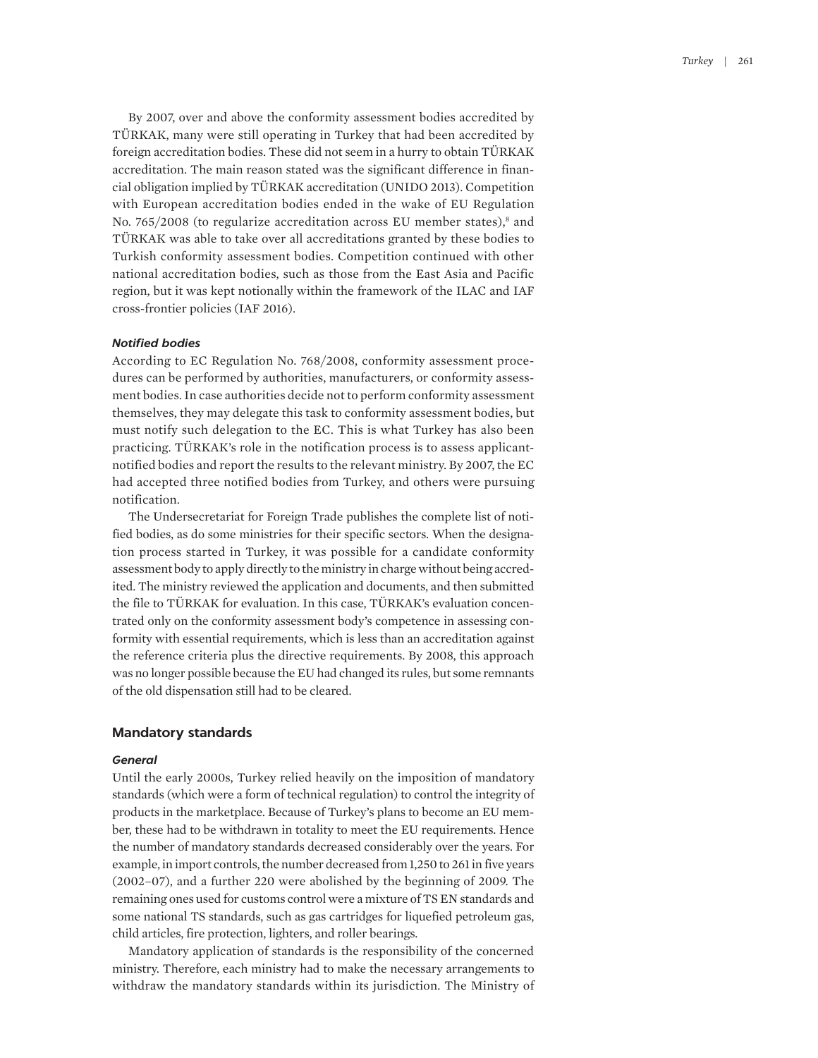By 2007, over and above the conformity assessment bodies accredited by TÜRKAK, many were still operating in Turkey that had been accredited by foreign accreditation bodies. These did not seem in a hurry to obtain TÜRKAK accreditation. The main reason stated was the significant difference in financial obligation implied by TÜRKAK accreditation (UNIDO 2013). Competition with European accreditation bodies ended in the wake of EU Regulation No. 765/2008 (to regularize accreditation across EU member states),<sup>8</sup> and TÜRKAK was able to take over all accreditations granted by these bodies to Turkish conformity assessment bodies. Competition continued with other national accreditation bodies, such as those from the East Asia and Pacific region, but it was kept notionally within the framework of the ILAC and IAF cross-frontier policies (IAF 2016).

## *Notified bodies*

According to EC Regulation No. 768/2008, conformity assessment procedures can be performed by authorities, manufacturers, or conformity assessment bodies. In case authorities decide not to perform conformity assessment themselves, they may delegate this task to conformity assessment bodies, but must notify such delegation to the EC. This is what Turkey has also been practicing. TÜRKAK's role in the notification process is to assess applicantnotified bodies and report the results to the relevant ministry. By 2007, the EC had accepted three notified bodies from Turkey, and others were pursuing notification.

The Undersecretariat for Foreign Trade publishes the complete list of notified bodies, as do some ministries for their specific sectors. When the designation process started in Turkey, it was possible for a candidate conformity assessment body to apply directly to the ministry in charge without being accredited. The ministry reviewed the application and documents, and then submitted the file to TÜRKAK for evaluation. In this case, TÜRKAK's evaluation concentrated only on the conformity assessment body's competence in assessing conformity with essential requirements, which is less than an accreditation against the reference criteria plus the directive requirements. By 2008, this approach was no longer possible because the EU had changed its rules, but some remnants of the old dispensation still had to be cleared.

#### **Mandatory standards**

#### *General*

Until the early 2000s, Turkey relied heavily on the imposition of mandatory standards (which were a form of technical regulation) to control the integrity of products in the marketplace. Because of Turkey's plans to become an EU member, these had to be withdrawn in totality to meet the EU requirements. Hence the number of mandatory standards decreased considerably over the years. For example, in import controls, the number decreased from 1,250 to 261 in five years (2002–07), and a further 220 were abolished by the beginning of 2009. The remaining ones used for customs control were a mixture of TS EN standards and some national TS standards, such as gas cartridges for liquefied petroleum gas, child articles, fire protection, lighters, and roller bearings.

Mandatory application of standards is the responsibility of the concerned ministry. Therefore, each ministry had to make the necessary arrangements to withdraw the mandatory standards within its jurisdiction. The Ministry of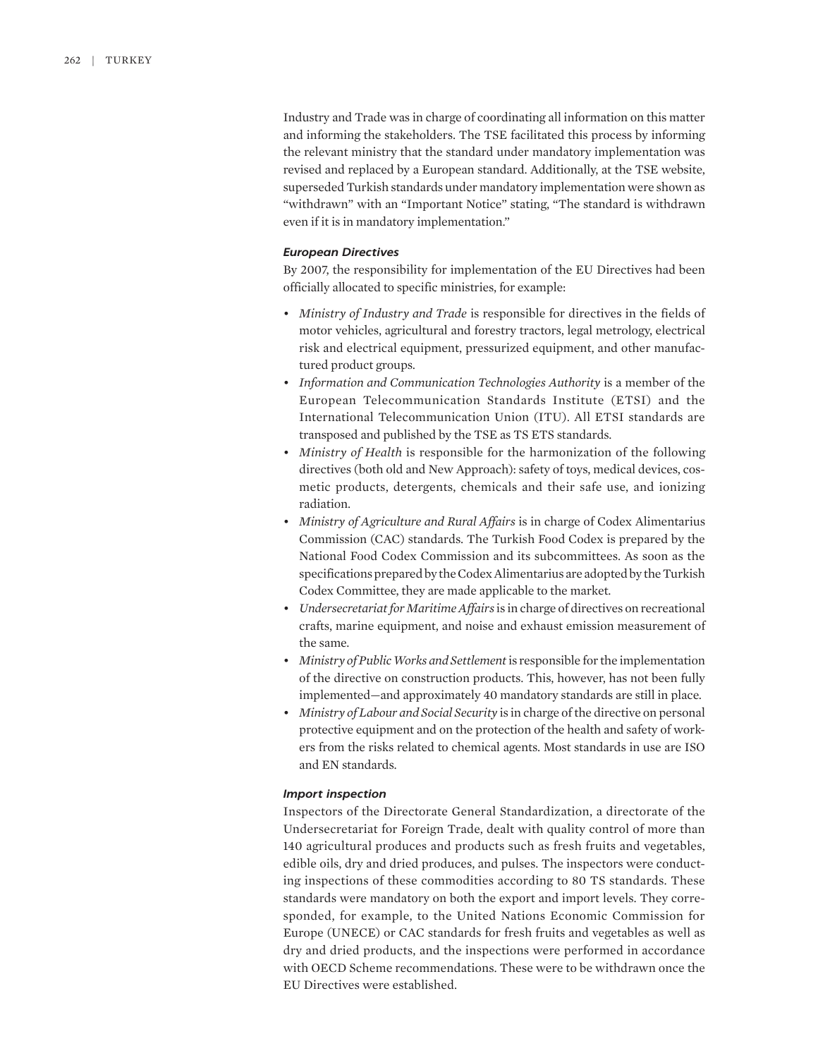Industry and Trade was in charge of coordinating all information on this matter and informing the stakeholders. The TSE facilitated this process by informing the relevant ministry that the standard under mandatory implementation was revised and replaced by a European standard. Additionally, at the TSE website, superseded Turkish standards under mandatory implementation were shown as "withdrawn" with an "Important Notice" stating, "The standard is withdrawn even if it is in mandatory implementation."

#### *European Directives*

By 2007, the responsibility for implementation of the EU Directives had been officially allocated to specific ministries, for example:

- *Ministry of Industry and Trade* is responsible for directives in the fields of motor vehicles, agricultural and forestry tractors, legal metrology, electrical risk and electrical equipment, pressurized equipment, and other manufactured product groups.
- *Information and Communication Technologies Authority* is a member of the European Telecommunication Standards Institute (ETSI) and the International Telecommunication Union (ITU). All ETSI standards are transposed and published by the TSE as TS ETS standards.
- *Ministry of Health* is responsible for the harmonization of the following directives (both old and New Approach): safety of toys, medical devices, cosmetic products, detergents, chemicals and their safe use, and ionizing radiation.
- *Ministry of Agriculture and Rural Affairs* is in charge of Codex Alimentarius Commission (CAC) standards. The Turkish Food Codex is prepared by the National Food Codex Commission and its subcommittees. As soon as the specifications prepared by the Codex Alimentarius are adopted by the Turkish Codex Committee, they are made applicable to the market.
- *Undersecretariat for Maritime Affairs* is in charge of directives on recreational crafts, marine equipment, and noise and exhaust emission measurement of the same.
- *Ministry of Public Works and Settlement* is responsible for the implementation of the directive on construction products. This, however, has not been fully implemented—and approximately 40 mandatory standards are still in place.
- *Ministry of Labour and Social Security* is in charge of the directive on personal protective equipment and on the protection of the health and safety of workers from the risks related to chemical agents. Most standards in use are ISO and EN standards.

## *Import inspection*

Inspectors of the Directorate General Standardization, a directorate of the Undersecretariat for Foreign Trade, dealt with quality control of more than 140 agricultural produces and products such as fresh fruits and vegetables, edible oils, dry and dried produces, and pulses. The inspectors were conducting inspections of these commodities according to 80 TS standards. These standards were mandatory on both the export and import levels. They corresponded, for example, to the United Nations Economic Commission for Europe (UNECE) or CAC standards for fresh fruits and vegetables as well as dry and dried products, and the inspections were performed in accordance with OECD Scheme recommendations. These were to be withdrawn once the EU Directives were established.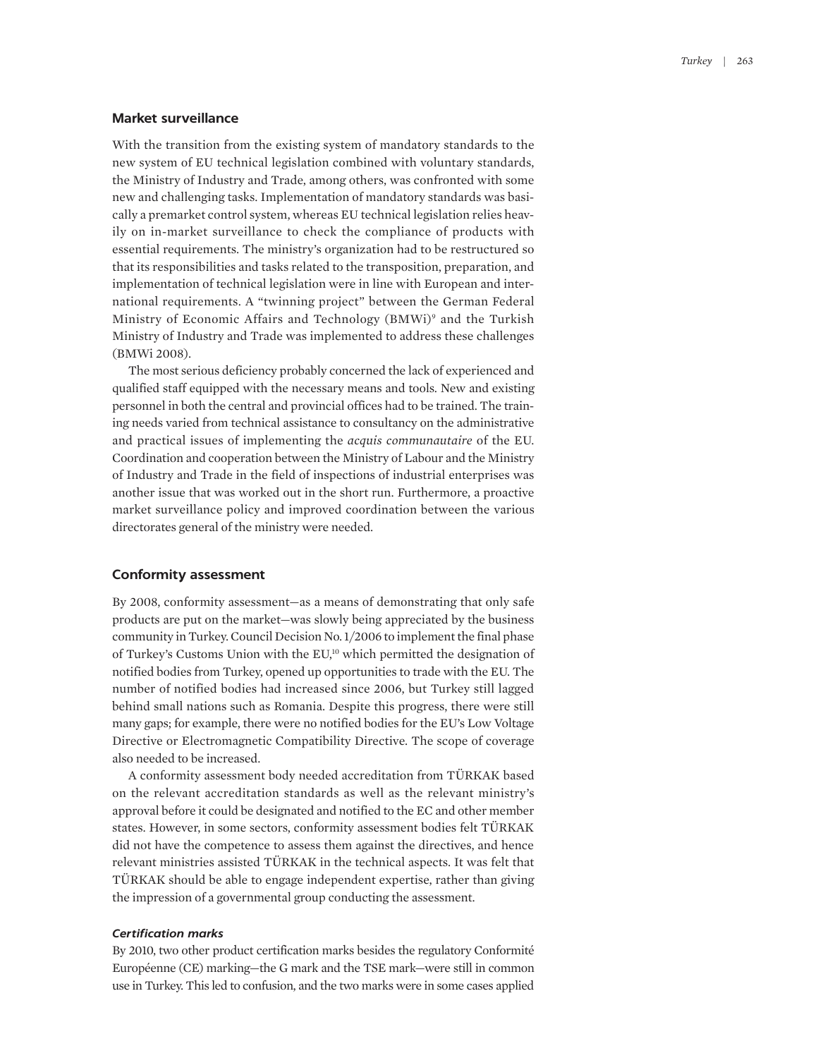## **Market surveillance**

With the transition from the existing system of mandatory standards to the new system of EU technical legislation combined with voluntary standards, the Ministry of Industry and Trade, among others, was confronted with some new and challenging tasks. Implementation of mandatory standards was basically a premarket control system, whereas EU technical legislation relies heavily on in-market surveillance to check the compliance of products with essential requirements. The ministry's organization had to be restructured so that its responsibilities and tasks related to the transposition, preparation, and implementation of technical legislation were in line with European and international requirements. A "twinning project" between the German Federal Ministry of Economic Affairs and Technology (BMWi)<sup>9</sup> and the Turkish Ministry of Industry and Trade was implemented to address these challenges (BMWi 2008).

The most serious deficiency probably concerned the lack of experienced and qualified staff equipped with the necessary means and tools. New and existing personnel in both the central and provincial offices had to be trained. The training needs varied from technical assistance to consultancy on the administrative and practical issues of implementing the *acquis communautaire* of the EU. Coordination and cooperation between the Ministry of Labour and the Ministry of Industry and Trade in the field of inspections of industrial enterprises was another issue that was worked out in the short run. Furthermore, a proactive market surveillance policy and improved coordination between the various directorates general of the ministry were needed.

## **Conformity assessment**

By 2008, conformity assessment—as a means of demonstrating that only safe products are put on the market—was slowly being appreciated by the business community in Turkey. Council Decision No. 1/2006 to implement the final phase of Turkey's Customs Union with the EU,<sup>10</sup> which permitted the designation of notified bodies from Turkey, opened up opportunities to trade with the EU. The number of notified bodies had increased since 2006, but Turkey still lagged behind small nations such as Romania. Despite this progress, there were still many gaps; for example, there were no notified bodies for the EU's Low Voltage Directive or Electromagnetic Compatibility Directive. The scope of coverage also needed to be increased.

A conformity assessment body needed accreditation from TÜRKAK based on the relevant accreditation standards as well as the relevant ministry's approval before it could be designated and notified to the EC and other member states. However, in some sectors, conformity assessment bodies felt TÜRKAK did not have the competence to assess them against the directives, and hence relevant ministries assisted TÜRKAK in the technical aspects. It was felt that TÜRKAK should be able to engage independent expertise, rather than giving the impression of a governmental group conducting the assessment.

## *Certification marks*

By 2010, two other product certification marks besides the regulatory Conformité Européenne (CE) marking—the G mark and the TSE mark—were still in common use in Turkey. This led to confusion, and the two marks were in some cases applied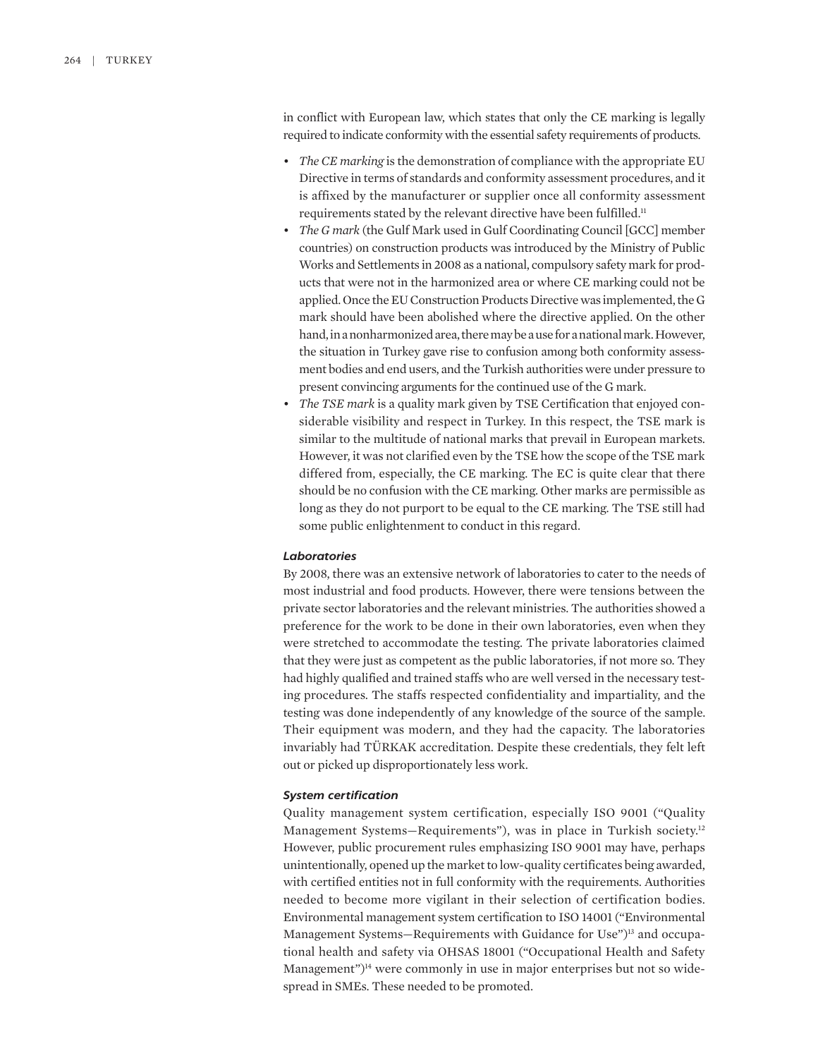in conflict with European law, which states that only the CE marking is legally required to indicate conformity with the essential safety requirements of products.

- *The CE marking* is the demonstration of compliance with the appropriate EU Directive in terms of standards and conformity assessment procedures, and it is affixed by the manufacturer or supplier once all conformity assessment requirements stated by the relevant directive have been fulfilled.<sup>11</sup>
- *The G mark* (the Gulf Mark used in Gulf Coordinating Council [GCC] member countries) on construction products was introduced by the Ministry of Public Works and Settlements in 2008 as a national, compulsory safety mark for products that were not in the harmonized area or where CE marking could not be applied. Once the EU Construction Products Directive was implemented, the G mark should have been abolished where the directive applied. On the other hand, in a nonharmonized area, there may be a use for a national mark. However, the situation in Turkey gave rise to confusion among both conformity assessment bodies and end users, and the Turkish authorities were under pressure to present convincing arguments for the continued use of the G mark.
- *The TSE mark* is a quality mark given by TSE Certification that enjoyed considerable visibility and respect in Turkey. In this respect, the TSE mark is similar to the multitude of national marks that prevail in European markets. However, it was not clarified even by the TSE how the scope of the TSE mark differed from, especially, the CE marking. The EC is quite clear that there should be no confusion with the CE marking. Other marks are permissible as long as they do not purport to be equal to the CE marking. The TSE still had some public enlightenment to conduct in this regard.

## *Laboratories*

By 2008, there was an extensive network of laboratories to cater to the needs of most industrial and food products. However, there were tensions between the private sector laboratories and the relevant ministries. The authorities showed a preference for the work to be done in their own laboratories, even when they were stretched to accommodate the testing. The private laboratories claimed that they were just as competent as the public laboratories, if not more so. They had highly qualified and trained staffs who are well versed in the necessary testing procedures. The staffs respected confidentiality and impartiality, and the testing was done independently of any knowledge of the source of the sample. Their equipment was modern, and they had the capacity. The laboratories invariably had TÜRKAK accreditation. Despite these credentials, they felt left out or picked up disproportionately less work.

#### *System certification*

Quality management system certification, especially ISO 9001 ("Quality Management Systems-Requirements"), was in place in Turkish society.<sup>12</sup> However, public procurement rules emphasizing ISO 9001 may have, perhaps unintentionally, opened up the market to low-quality certificates being awarded, with certified entities not in full conformity with the requirements. Authorities needed to become more vigilant in their selection of certification bodies. Environmental management system certification to ISO 14001 ("Environmental Management Systems-Requirements with Guidance for Use")<sup>13</sup> and occupational health and safety via OHSAS 18001 ("Occupational Health and Safety Management")<sup>14</sup> were commonly in use in major enterprises but not so widespread in SMEs. These needed to be promoted.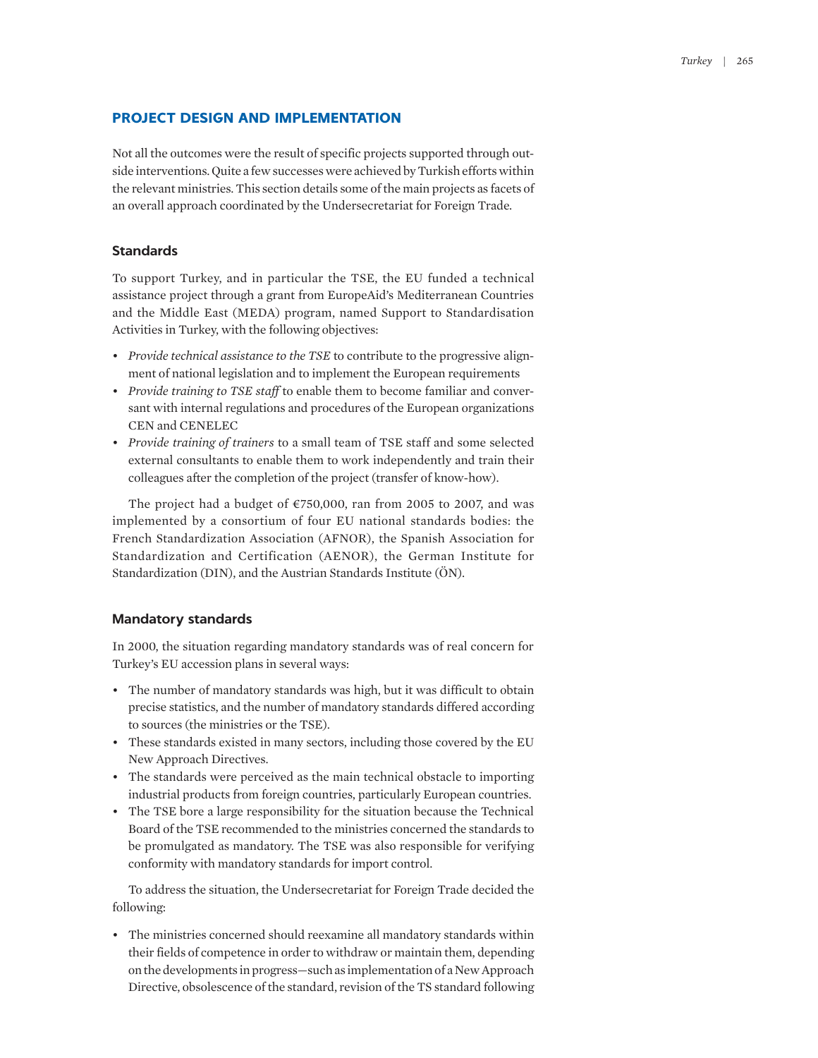## **PROJECT DESIGN AND IMPLEMENTATION**

Not all the outcomes were the result of specific projects supported through outside interventions. Quite a few successes were achieved by Turkish efforts within the relevant ministries. This section details some of the main projects as facets of an overall approach coordinated by the Undersecretariat for Foreign Trade.

## **Standards**

To support Turkey, and in particular the TSE, the EU funded a technical assistance project through a grant from EuropeAid's Mediterranean Countries and the Middle East (MEDA) program, named Support to Standardisation Activities in Turkey, with the following objectives:

- *Provide technical assistance to the TSE* to contribute to the progressive alignment of national legislation and to implement the European requirements
- *Provide training to TSE staff* to enable them to become familiar and conversant with internal regulations and procedures of the European organizations CEN and CENELEC
- *Provide training of trainers* to a small team of TSE staff and some selected external consultants to enable them to work independently and train their colleagues after the completion of the project (transfer of know-how).

The project had a budget of  $\epsilon$ 750,000, ran from 2005 to 2007, and was implemented by a consortium of four EU national standards bodies: the French Standardization Association (AFNOR), the Spanish Association for Standardization and Certification (AENOR), the German Institute for Standardization (DIN), and the Austrian Standards Institute (ÖN).

## **Mandatory standards**

In 2000, the situation regarding mandatory standards was of real concern for Turkey's EU accession plans in several ways:

- The number of mandatory standards was high, but it was difficult to obtain precise statistics, and the number of mandatory standards differed according to sources (the ministries or the TSE).
- These standards existed in many sectors, including those covered by the EU New Approach Directives.
- The standards were perceived as the main technical obstacle to importing industrial products from foreign countries, particularly European countries.
- The TSE bore a large responsibility for the situation because the Technical Board of the TSE recommended to the ministries concerned the standards to be promulgated as mandatory. The TSE was also responsible for verifying conformity with mandatory standards for import control.

To address the situation, the Undersecretariat for Foreign Trade decided the following:

• The ministries concerned should reexamine all mandatory standards within their fields of competence in order to withdraw or maintain them, depending on the developments in progress—such as implementation of a New Approach Directive, obsolescence of the standard, revision of the TS standard following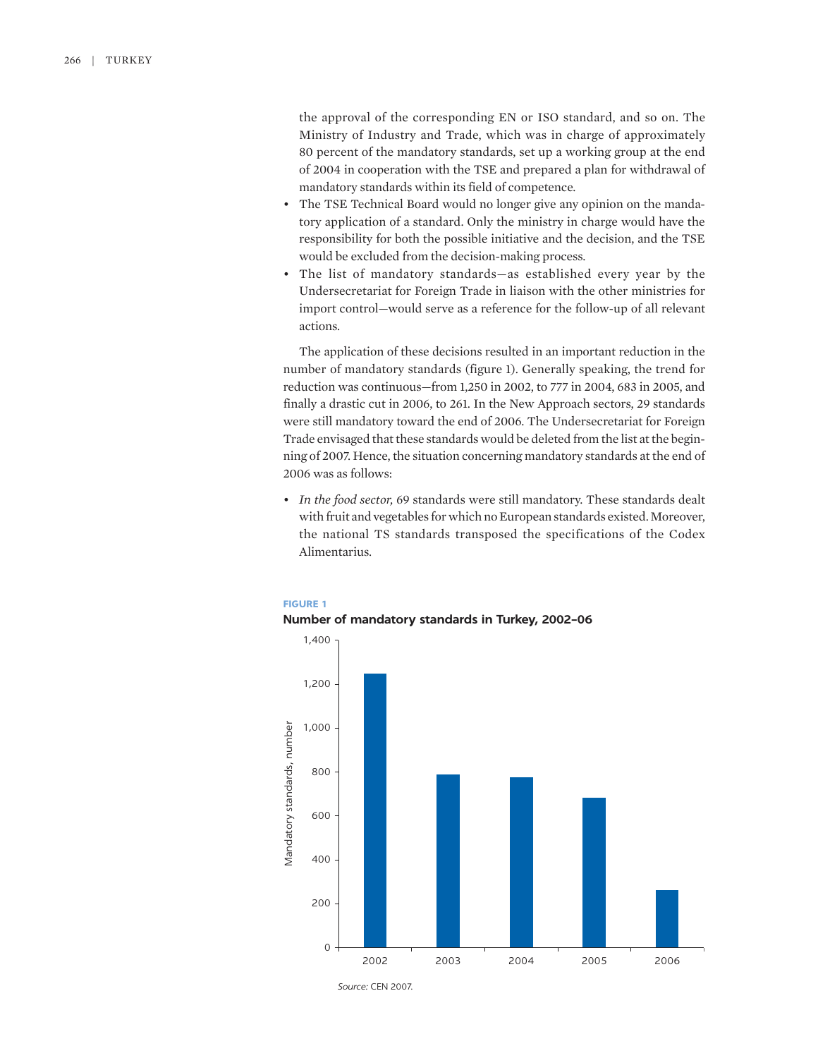the approval of the corresponding EN or ISO standard, and so on. The Ministry of Industry and Trade, which was in charge of approximately 80 percent of the mandatory standards, set up a working group at the end of 2004 in cooperation with the TSE and prepared a plan for withdrawal of mandatory standards within its field of competence.

- The TSE Technical Board would no longer give any opinion on the mandatory application of a standard. Only the ministry in charge would have the responsibility for both the possible initiative and the decision, and the TSE would be excluded from the decision-making process.
- The list of mandatory standards—as established every year by the Undersecretariat for Foreign Trade in liaison with the other ministries for import control—would serve as a reference for the follow-up of all relevant actions.

The application of these decisions resulted in an important reduction in the number of mandatory standards (figure 1). Generally speaking, the trend for reduction was continuous—from 1,250 in 2002, to 777 in 2004, 683 in 2005, and finally a drastic cut in 2006, to 261. In the New Approach sectors, 29 standards were still mandatory toward the end of 2006. The Undersecretariat for Foreign Trade envisaged that these standards would be deleted from the list at the beginning of 2007. Hence, the situation concerning mandatory standards at the end of 2006 was as follows:

• *In the food sector,* 69 standards were still mandatory. These standards dealt with fruit and vegetables for which no European standards existed. Moreover, the national TS standards transposed the specifications of the Codex Alimentarius.



## **FIGURE 1 Number of mandatory standards in Turkey, 2002–06**

*Source:* CEN 2007.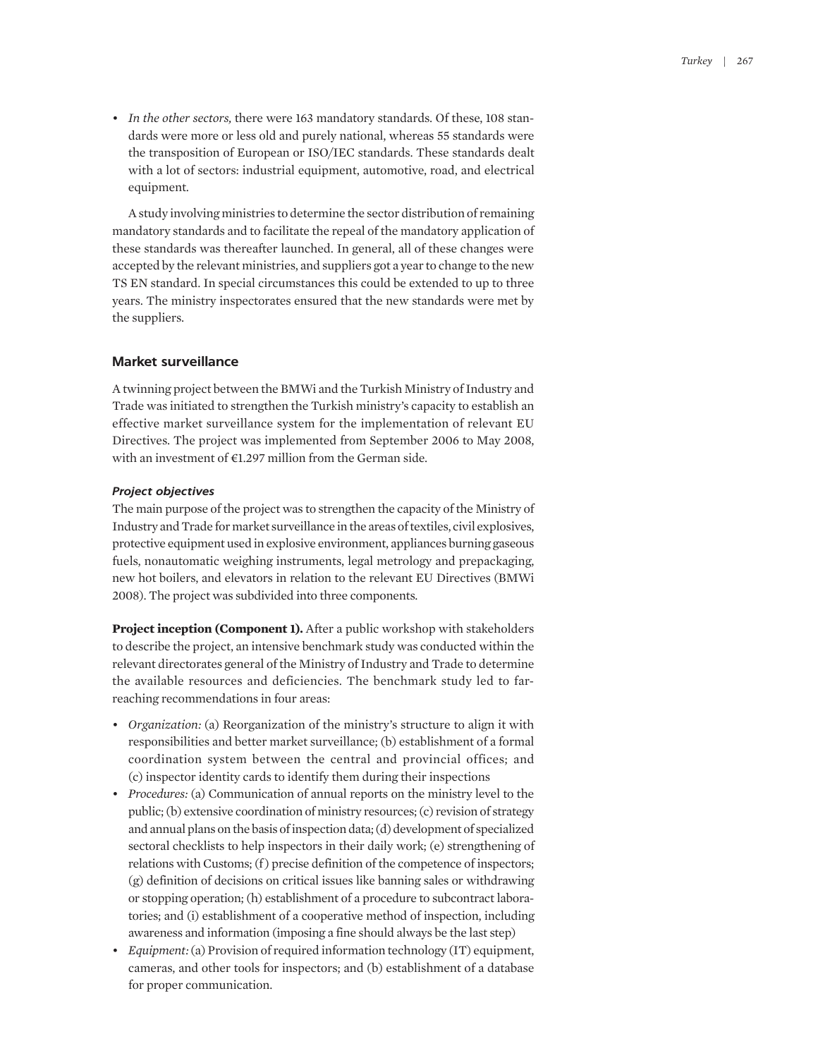• *In the other sectors,* there were 163 mandatory standards. Of these, 108 standards were more or less old and purely national, whereas 55 standards were the transposition of European or ISO/IEC standards. These standards dealt with a lot of sectors: industrial equipment, automotive, road, and electrical equipment.

A study involving ministries to determine the sector distribution of remaining mandatory standards and to facilitate the repeal of the mandatory application of these standards was thereafter launched. In general, all of these changes were accepted by the relevant ministries, and suppliers got a year to change to the new TS EN standard. In special circumstances this could be extended to up to three years. The ministry inspectorates ensured that the new standards were met by the suppliers.

## **Market surveillance**

A twinning project between the BMWi and the Turkish Ministry of Industry and Trade was initiated to strengthen the Turkish ministry's capacity to establish an effective market surveillance system for the implementation of relevant EU Directives. The project was implemented from September 2006 to May 2008, with an investment of €1.297 million from the German side.

## *Project objectives*

The main purpose of the project was to strengthen the capacity of the Ministry of Industry and Trade for market surveillance in the areas of textiles, civil explosives, protective equipment used in explosive environment, appliances burning gaseous fuels, nonautomatic weighing instruments, legal metrology and prepackaging, new hot boilers, and elevators in relation to the relevant EU Directives (BMWi 2008). The project was subdivided into three components.

**Project inception (Component 1).** After a public workshop with stakeholders to describe the project, an intensive benchmark study was conducted within the relevant directorates general of the Ministry of Industry and Trade to determine the available resources and deficiencies. The benchmark study led to farreaching recommendations in four areas:

- *Organization:* (a) Reorganization of the ministry's structure to align it with responsibilities and better market surveillance; (b) establishment of a formal coordination system between the central and provincial offices; and (c) inspector identity cards to identify them during their inspections
- *Procedures:* (a) Communication of annual reports on the ministry level to the public; (b) extensive coordination of ministry resources; (c) revision of strategy and annual plans on the basis of inspection data; (d) development of specialized sectoral checklists to help inspectors in their daily work; (e) strengthening of relations with Customs; (f) precise definition of the competence of inspectors; (g) definition of decisions on critical issues like banning sales or withdrawing or stopping operation; (h) establishment of a procedure to subcontract laboratories; and (i) establishment of a cooperative method of inspection, including awareness and information (imposing a fine should always be the last step)
- *Equipment:* (a) Provision of required information technology (IT) equipment, cameras, and other tools for inspectors; and (b) establishment of a database for proper communication.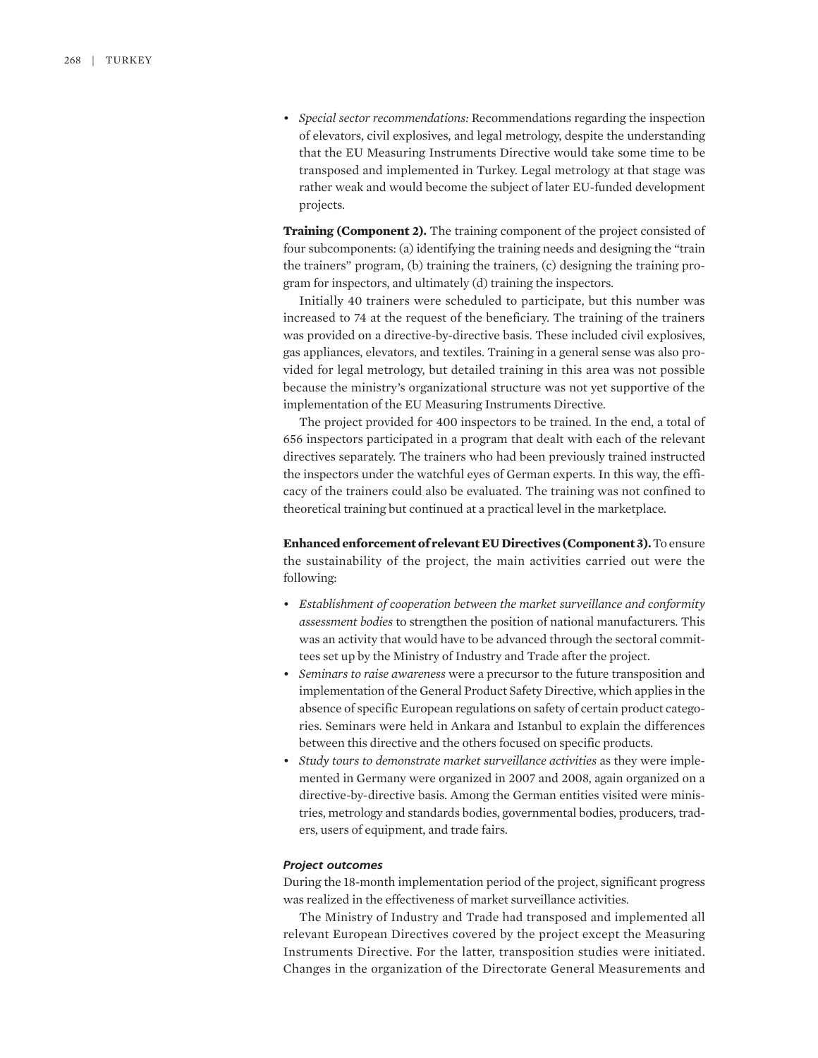• *Special sector recommendations:* Recommendations regarding the inspection of elevators, civil explosives, and legal metrology, despite the understanding that the EU Measuring Instruments Directive would take some time to be transposed and implemented in Turkey. Legal metrology at that stage was rather weak and would become the subject of later EU-funded development projects.

**Training (Component 2).** The training component of the project consisted of four subcomponents: (a) identifying the training needs and designing the "train the trainers" program, (b) training the trainers, (c) designing the training program for inspectors, and ultimately (d) training the inspectors.

Initially 40 trainers were scheduled to participate, but this number was increased to 74 at the request of the beneficiary. The training of the trainers was provided on a directive-by-directive basis. These included civil explosives, gas appliances, elevators, and textiles. Training in a general sense was also provided for legal metrology, but detailed training in this area was not possible because the ministry's organizational structure was not yet supportive of the implementation of the EU Measuring Instruments Directive.

The project provided for 400 inspectors to be trained. In the end, a total of 656 inspectors participated in a program that dealt with each of the relevant directives separately. The trainers who had been previously trained instructed the inspectors under the watchful eyes of German experts. In this way, the efficacy of the trainers could also be evaluated. The training was not confined to theoretical training but continued at a practical level in the marketplace.

**Enhanced enforcement of relevant EU Directives (Component 3).** To ensure the sustainability of the project, the main activities carried out were the following:

- *Establishment of cooperation between the market surveillance and conformity assessment bodies* to strengthen the position of national manufacturers. This was an activity that would have to be advanced through the sectoral committees set up by the Ministry of Industry and Trade after the project.
- *Seminars to raise awareness* were a precursor to the future transposition and implementation of the General Product Safety Directive, which applies in the absence of specific European regulations on safety of certain product categories. Seminars were held in Ankara and Istanbul to explain the differences between this directive and the others focused on specific products.
- *Study tours to demonstrate market surveillance activities* as they were implemented in Germany were organized in 2007 and 2008, again organized on a directive-by-directive basis. Among the German entities visited were ministries, metrology and standards bodies, governmental bodies, producers, traders, users of equipment, and trade fairs.

#### *Project outcomes*

During the 18-month implementation period of the project, significant progress was realized in the effectiveness of market surveillance activities.

The Ministry of Industry and Trade had transposed and implemented all relevant European Directives covered by the project except the Measuring Instruments Directive. For the latter, transposition studies were initiated. Changes in the organization of the Directorate General Measurements and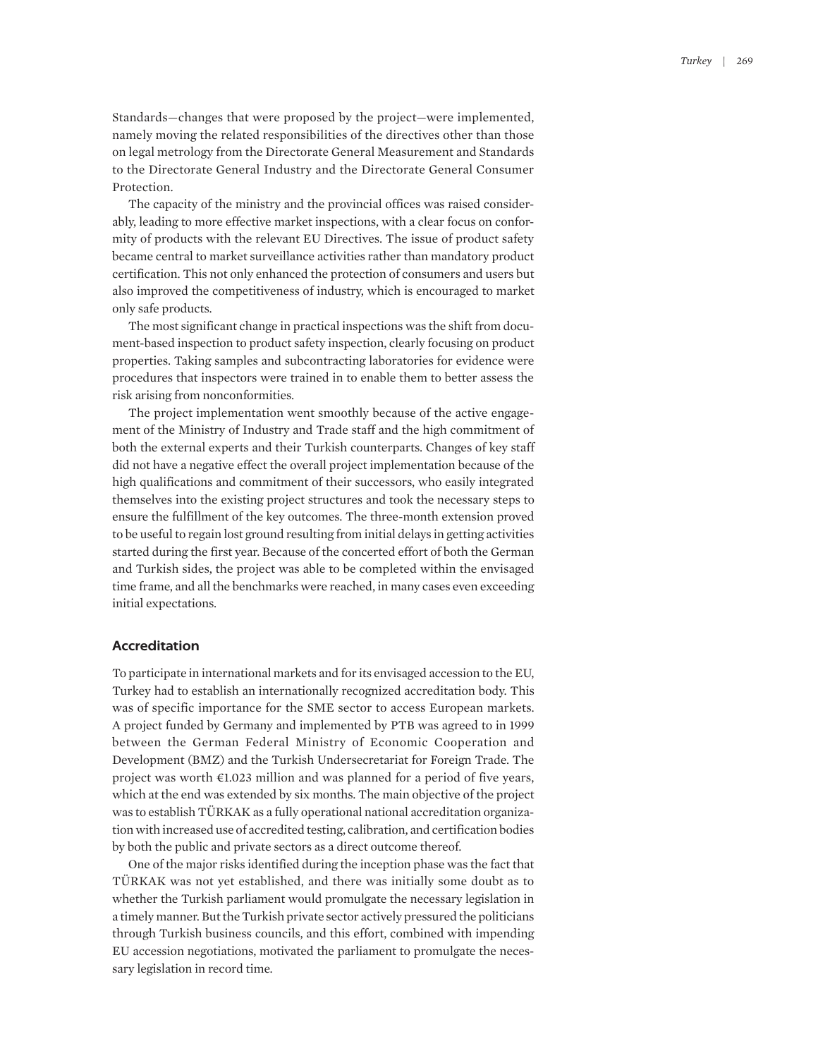Standards—changes that were proposed by the project—were implemented, namely moving the related responsibilities of the directives other than those on legal metrology from the Directorate General Measurement and Standards to the Directorate General Industry and the Directorate General Consumer Protection.

The capacity of the ministry and the provincial offices was raised considerably, leading to more effective market inspections, with a clear focus on conformity of products with the relevant EU Directives. The issue of product safety became central to market surveillance activities rather than mandatory product certification. This not only enhanced the protection of consumers and users but also improved the competitiveness of industry, which is encouraged to market only safe products.

The most significant change in practical inspections was the shift from document-based inspection to product safety inspection, clearly focusing on product properties. Taking samples and subcontracting laboratories for evidence were procedures that inspectors were trained in to enable them to better assess the risk arising from nonconformities.

The project implementation went smoothly because of the active engagement of the Ministry of Industry and Trade staff and the high commitment of both the external experts and their Turkish counterparts. Changes of key staff did not have a negative effect the overall project implementation because of the high qualifications and commitment of their successors, who easily integrated themselves into the existing project structures and took the necessary steps to ensure the fulfillment of the key outcomes. The three-month extension proved to be useful to regain lost ground resulting from initial delays in getting activities started during the first year. Because of the concerted effort of both the German and Turkish sides, the project was able to be completed within the envisaged time frame, and all the benchmarks were reached, in many cases even exceeding initial expectations.

## **Accreditation**

To participate in international markets and for its envisaged accession to the EU, Turkey had to establish an internationally recognized accreditation body. This was of specific importance for the SME sector to access European markets. A project funded by Germany and implemented by PTB was agreed to in 1999 between the German Federal Ministry of Economic Cooperation and Development (BMZ) and the Turkish Undersecretariat for Foreign Trade. The project was worth €1.023 million and was planned for a period of five years, which at the end was extended by six months. The main objective of the project was to establish TÜRKAK as a fully operational national accreditation organization with increased use of accredited testing, calibration, and certification bodies by both the public and private sectors as a direct outcome thereof.

One of the major risks identified during the inception phase was the fact that TÜRKAK was not yet established, and there was initially some doubt as to whether the Turkish parliament would promulgate the necessary legislation in a timely manner. But the Turkish private sector actively pressured the politicians through Turkish business councils, and this effort, combined with impending EU accession negotiations, motivated the parliament to promulgate the necessary legislation in record time.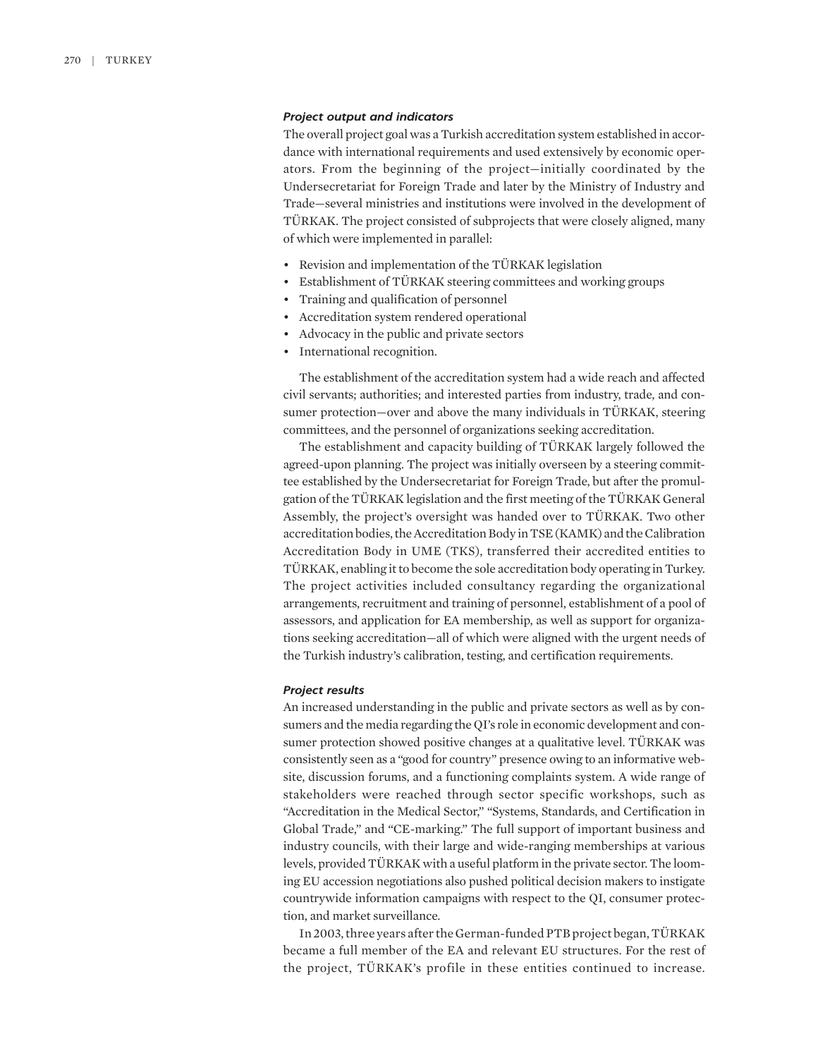## *Project output and indicators*

The overall project goal was a Turkish accreditation system established in accordance with international requirements and used extensively by economic operators. From the beginning of the project—initially coordinated by the Undersecretariat for Foreign Trade and later by the Ministry of Industry and Trade—several ministries and institutions were involved in the development of TÜRKAK. The project consisted of subprojects that were closely aligned, many of which were implemented in parallel:

- Revision and implementation of the TÜRKAK legislation
- Establishment of TÜRKAK steering committees and working groups
- Training and qualification of personnel
- Accreditation system rendered operational
- Advocacy in the public and private sectors
- International recognition.

The establishment of the accreditation system had a wide reach and affected civil servants; authorities; and interested parties from industry, trade, and consumer protection—over and above the many individuals in TÜRKAK, steering committees, and the personnel of organizations seeking accreditation.

The establishment and capacity building of TÜRKAK largely followed the agreed-upon planning. The project was initially overseen by a steering committee established by the Undersecretariat for Foreign Trade, but after the promulgation of the TÜRKAK legislation and the first meeting of the TÜRKAK General Assembly, the project's oversight was handed over to TÜRKAK. Two other accreditation bodies, the Accreditation Body in TSE (KAMK) and the Calibration Accreditation Body in UME (TKS), transferred their accredited entities to TÜRKAK, enabling it to become the sole accreditation body operating in Turkey. The project activities included consultancy regarding the organizational arrangements, recruitment and training of personnel, establishment of a pool of assessors, and application for EA membership, as well as support for organizations seeking accreditation—all of which were aligned with the urgent needs of the Turkish industry's calibration, testing, and certification requirements.

#### *Project results*

An increased understanding in the public and private sectors as well as by consumers and the media regarding the QI's role in economic development and consumer protection showed positive changes at a qualitative level. TÜRKAK was consistently seen as a "good for country" presence owing to an informative website, discussion forums, and a functioning complaints system. A wide range of stakeholders were reached through sector specific workshops, such as "Accreditation in the Medical Sector," "Systems, Standards, and Certification in Global Trade," and "CE-marking." The full support of important business and industry councils, with their large and wide-ranging memberships at various levels, provided TÜRKAK with a useful platform in the private sector. The looming EU accession negotiations also pushed political decision makers to instigate countrywide information campaigns with respect to the QI, consumer protection, and market surveillance.

In 2003, three years after the German-funded PTB project began, TÜRKAK became a full member of the EA and relevant EU structures. For the rest of the project, TÜRKAK's profile in these entities continued to increase.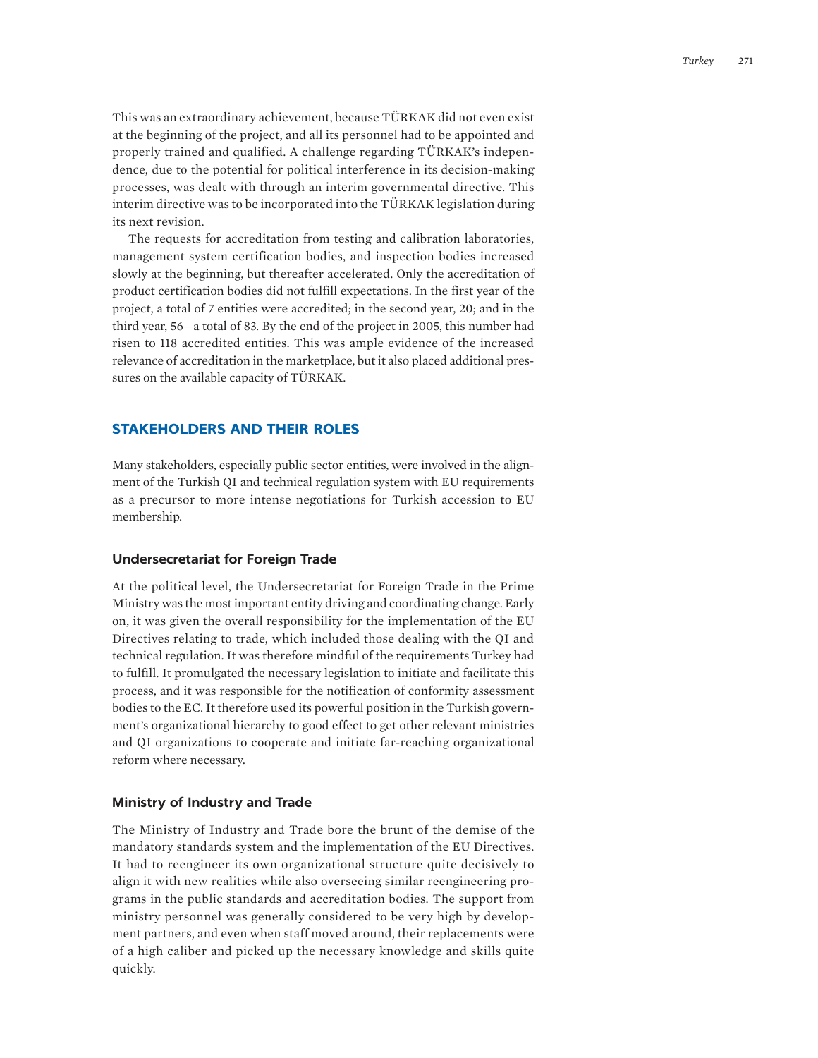This was an extraordinary achievement, because TÜRKAK did not even exist at the beginning of the project, and all its personnel had to be appointed and properly trained and qualified. A challenge regarding TÜRKAK's independence, due to the potential for political interference in its decision-making processes, was dealt with through an interim governmental directive. This interim directive was to be incorporated into the TÜRKAK legislation during its next revision.

The requests for accreditation from testing and calibration laboratories, management system certification bodies, and inspection bodies increased slowly at the beginning, but thereafter accelerated. Only the accreditation of product certification bodies did not fulfill expectations. In the first year of the project, a total of 7 entities were accredited; in the second year, 20; and in the third year, 56—a total of 83. By the end of the project in 2005, this number had risen to 118 accredited entities. This was ample evidence of the increased relevance of accreditation in the marketplace, but it also placed additional pressures on the available capacity of TÜRKAK.

## **STAKEHOLDERS AND THEIR ROLES**

Many stakeholders, especially public sector entities, were involved in the alignment of the Turkish QI and technical regulation system with EU requirements as a precursor to more intense negotiations for Turkish accession to EU membership.

## **Undersecretariat for Foreign Trade**

At the political level, the Undersecretariat for Foreign Trade in the Prime Ministry was the most important entity driving and coordinating change. Early on, it was given the overall responsibility for the implementation of the EU Directives relating to trade, which included those dealing with the QI and technical regulation. It was therefore mindful of the requirements Turkey had to fulfill. It promulgated the necessary legislation to initiate and facilitate this process, and it was responsible for the notification of conformity assessment bodies to the EC. It therefore used its powerful position in the Turkish government's organizational hierarchy to good effect to get other relevant ministries and QI organizations to cooperate and initiate far-reaching organizational reform where necessary.

### **Ministry of Industry and Trade**

The Ministry of Industry and Trade bore the brunt of the demise of the mandatory standards system and the implementation of the EU Directives. It had to reengineer its own organizational structure quite decisively to align it with new realities while also overseeing similar reengineering programs in the public standards and accreditation bodies. The support from ministry personnel was generally considered to be very high by development partners, and even when staff moved around, their replacements were of a high caliber and picked up the necessary knowledge and skills quite quickly.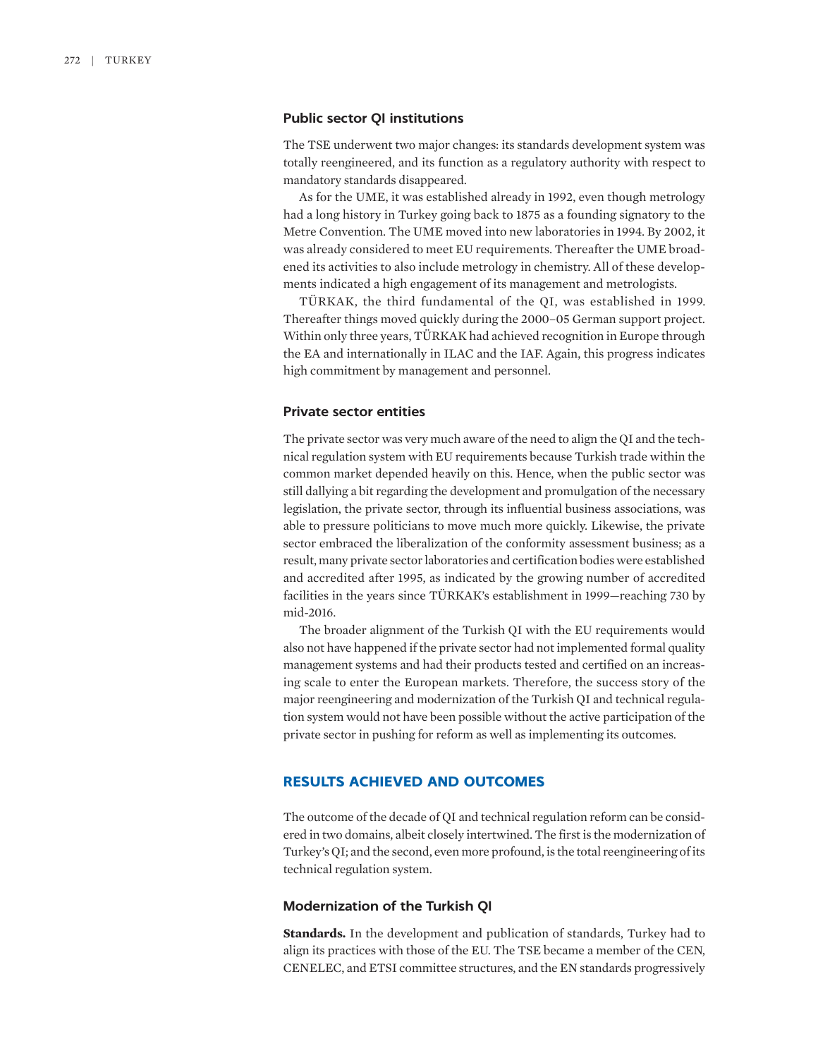## **Public sector QI institutions**

The TSE underwent two major changes: its standards development system was totally reengineered, and its function as a regulatory authority with respect to mandatory standards disappeared.

As for the UME, it was established already in 1992, even though metrology had a long history in Turkey going back to 1875 as a founding signatory to the Metre Convention. The UME moved into new laboratories in 1994. By 2002, it was already considered to meet EU requirements. Thereafter the UME broadened its activities to also include metrology in chemistry. All of these developments indicated a high engagement of its management and metrologists.

TÜRKAK, the third fundamental of the QI, was established in 1999. Thereafter things moved quickly during the 2000–05 German support project. Within only three years, TÜRKAK had achieved recognition in Europe through the EA and internationally in ILAC and the IAF. Again, this progress indicates high commitment by management and personnel.

#### **Private sector entities**

The private sector was very much aware of the need to align the QI and the technical regulation system with EU requirements because Turkish trade within the common market depended heavily on this. Hence, when the public sector was still dallying a bit regarding the development and promulgation of the necessary legislation, the private sector, through its influential business associations, was able to pressure politicians to move much more quickly. Likewise, the private sector embraced the liberalization of the conformity assessment business; as a result, many private sector laboratories and certification bodies were established and accredited after 1995, as indicated by the growing number of accredited facilities in the years since TÜRKAK's establishment in 1999—reaching 730 by mid-2016.

The broader alignment of the Turkish QI with the EU requirements would also not have happened if the private sector had not implemented formal quality management systems and had their products tested and certified on an increasing scale to enter the European markets. Therefore, the success story of the major reengineering and modernization of the Turkish QI and technical regulation system would not have been possible without the active participation of the private sector in pushing for reform as well as implementing its outcomes.

## **RESULTS ACHIEVED AND OUTCOMES**

The outcome of the decade of QI and technical regulation reform can be considered in two domains, albeit closely intertwined. The first is the modernization of Turkey's QI; and the second, even more profound, is the total reengineering of its technical regulation system.

## **Modernization of the Turkish QI**

**Standards.** In the development and publication of standards, Turkey had to align its practices with those of the EU. The TSE became a member of the CEN, CENELEC, and ETSI committee structures, and the EN standards progressively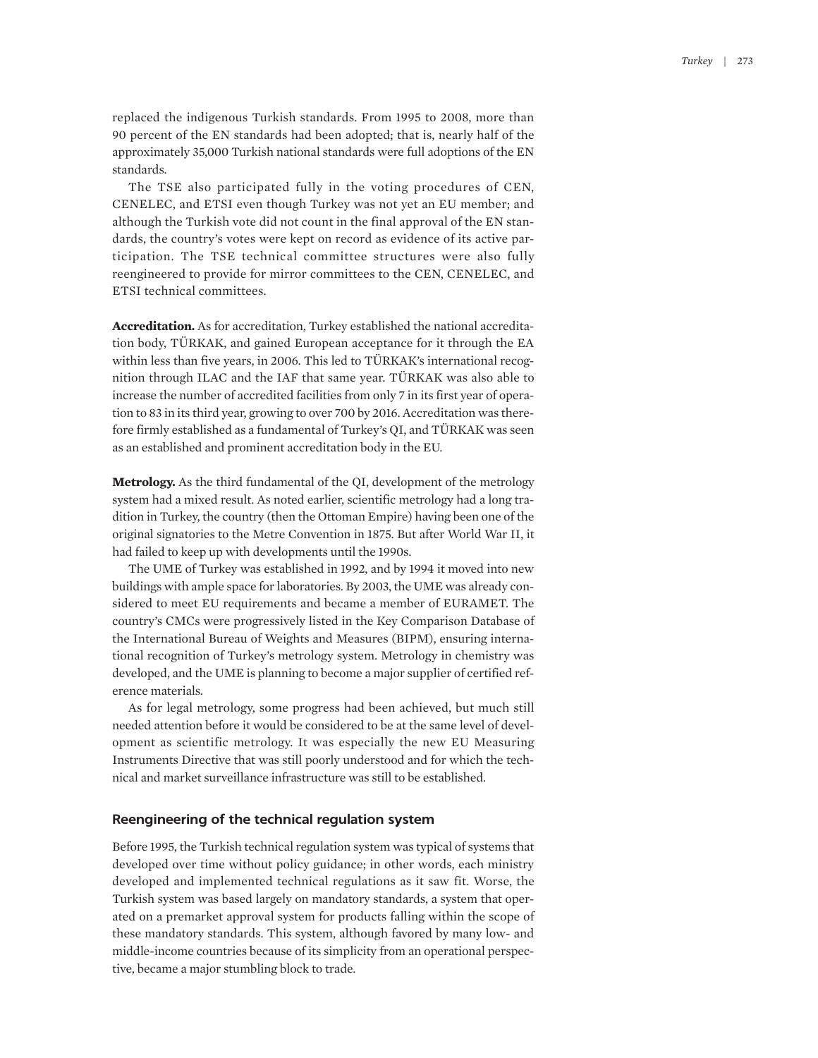replaced the indigenous Turkish standards. From 1995 to 2008, more than 90 percent of the EN standards had been adopted; that is, nearly half of the approximately 35,000 Turkish national standards were full adoptions of the EN standards.

The TSE also participated fully in the voting procedures of CEN, CENELEC, and ETSI even though Turkey was not yet an EU member; and although the Turkish vote did not count in the final approval of the EN standards, the country's votes were kept on record as evidence of its active participation. The TSE technical committee structures were also fully reengineered to provide for mirror committees to the CEN, CENELEC, and ETSI technical committees.

**Accreditation.** As for accreditation, Turkey established the national accreditation body, TÜRKAK, and gained European acceptance for it through the EA within less than five years, in 2006. This led to TÜRKAK's international recognition through ILAC and the IAF that same year. TÜRKAK was also able to increase the number of accredited facilities from only 7 in its first year of operation to 83 in its third year, growing to over 700 by 2016. Accreditation was therefore firmly established as a fundamental of Turkey's QI, and TÜRKAK was seen as an established and prominent accreditation body in the EU.

**Metrology.** As the third fundamental of the QI, development of the metrology system had a mixed result. As noted earlier, scientific metrology had a long tradition in Turkey, the country (then the Ottoman Empire) having been one of the original signatories to the Metre Convention in 1875. But after World War II, it had failed to keep up with developments until the 1990s.

The UME of Turkey was established in 1992, and by 1994 it moved into new buildings with ample space for laboratories. By 2003, the UME was already considered to meet EU requirements and became a member of EURAMET. The country's CMCs were progressively listed in the Key Comparison Database of the International Bureau of Weights and Measures (BIPM), ensuring international recognition of Turkey's metrology system. Metrology in chemistry was developed, and the UME is planning to become a major supplier of certified reference materials.

As for legal metrology, some progress had been achieved, but much still needed attention before it would be considered to be at the same level of development as scientific metrology. It was especially the new EU Measuring Instruments Directive that was still poorly understood and for which the technical and market surveillance infrastructure was still to be established.

## **Reengineering of the technical regulation system**

Before 1995, the Turkish technical regulation system was typical of systems that developed over time without policy guidance; in other words, each ministry developed and implemented technical regulations as it saw fit. Worse, the Turkish system was based largely on mandatory standards, a system that operated on a premarket approval system for products falling within the scope of these mandatory standards. This system, although favored by many low- and middle-income countries because of its simplicity from an operational perspective, became a major stumbling block to trade.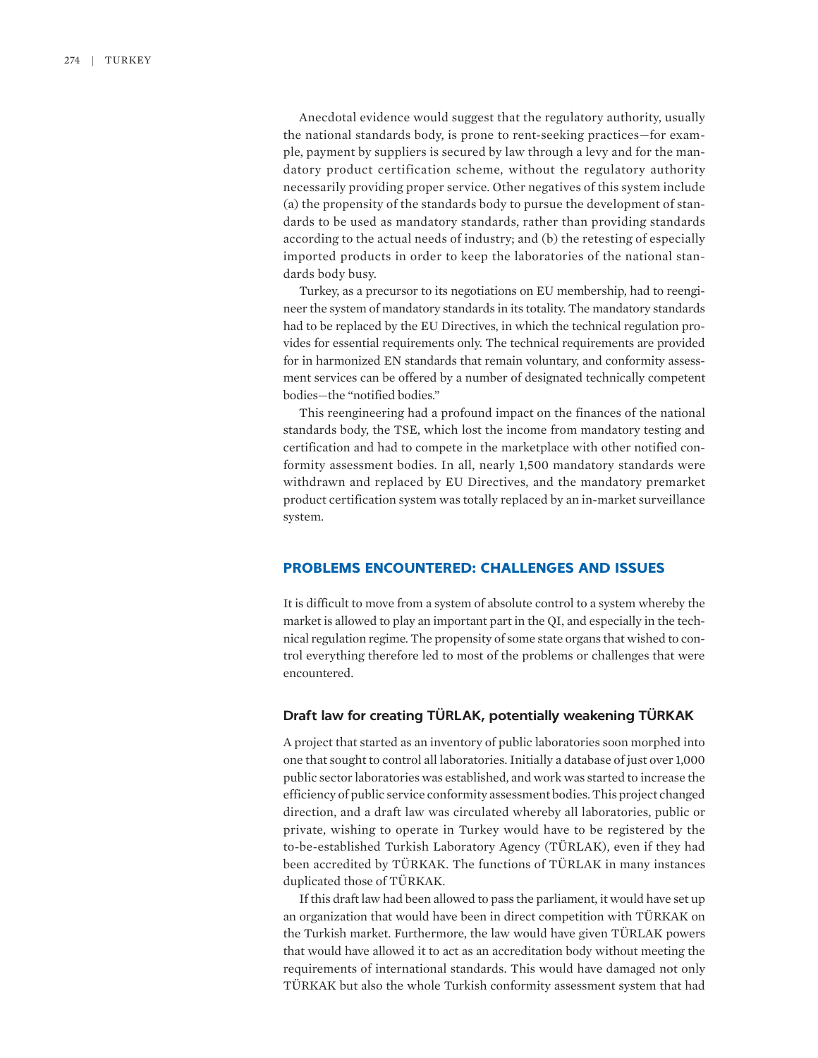Anecdotal evidence would suggest that the regulatory authority, usually the national standards body, is prone to rent-seeking practices—for example, payment by suppliers is secured by law through a levy and for the mandatory product certification scheme, without the regulatory authority necessarily providing proper service. Other negatives of this system include (a) the propensity of the standards body to pursue the development of standards to be used as mandatory standards, rather than providing standards according to the actual needs of industry; and (b) the retesting of especially imported products in order to keep the laboratories of the national standards body busy.

Turkey, as a precursor to its negotiations on EU membership, had to reengineer the system of mandatory standards in its totality. The mandatory standards had to be replaced by the EU Directives, in which the technical regulation provides for essential requirements only. The technical requirements are provided for in harmonized EN standards that remain voluntary, and conformity assessment services can be offered by a number of designated technically competent bodies—the "notified bodies."

This reengineering had a profound impact on the finances of the national standards body, the TSE, which lost the income from mandatory testing and certification and had to compete in the marketplace with other notified conformity assessment bodies. In all, nearly 1,500 mandatory standards were withdrawn and replaced by EU Directives, and the mandatory premarket product certification system was totally replaced by an in-market surveillance system.

## **PROBLEMS ENCOUNTERED: CHALLENGES AND ISSUES**

It is difficult to move from a system of absolute control to a system whereby the market is allowed to play an important part in the QI, and especially in the technical regulation regime. The propensity of some state organs that wished to control everything therefore led to most of the problems or challenges that were encountered.

## **Draft law for creating TÜRLAK, potentially weakening TÜRKAK**

A project that started as an inventory of public laboratories soon morphed into one that sought to control all laboratories. Initially a database of just over 1,000 public sector laboratories was established, and work was started to increase the efficiency of public service conformity assessment bodies. This project changed direction, and a draft law was circulated whereby all laboratories, public or private, wishing to operate in Turkey would have to be registered by the to-be-established Turkish Laboratory Agency (TÜRLAK), even if they had been accredited by TÜRKAK. The functions of TÜRLAK in many instances duplicated those of TÜRKAK.

If this draft law had been allowed to pass the parliament, it would have set up an organization that would have been in direct competition with TÜRKAK on the Turkish market. Furthermore, the law would have given TÜRLAK powers that would have allowed it to act as an accreditation body without meeting the requirements of international standards. This would have damaged not only TÜRKAK but also the whole Turkish conformity assessment system that had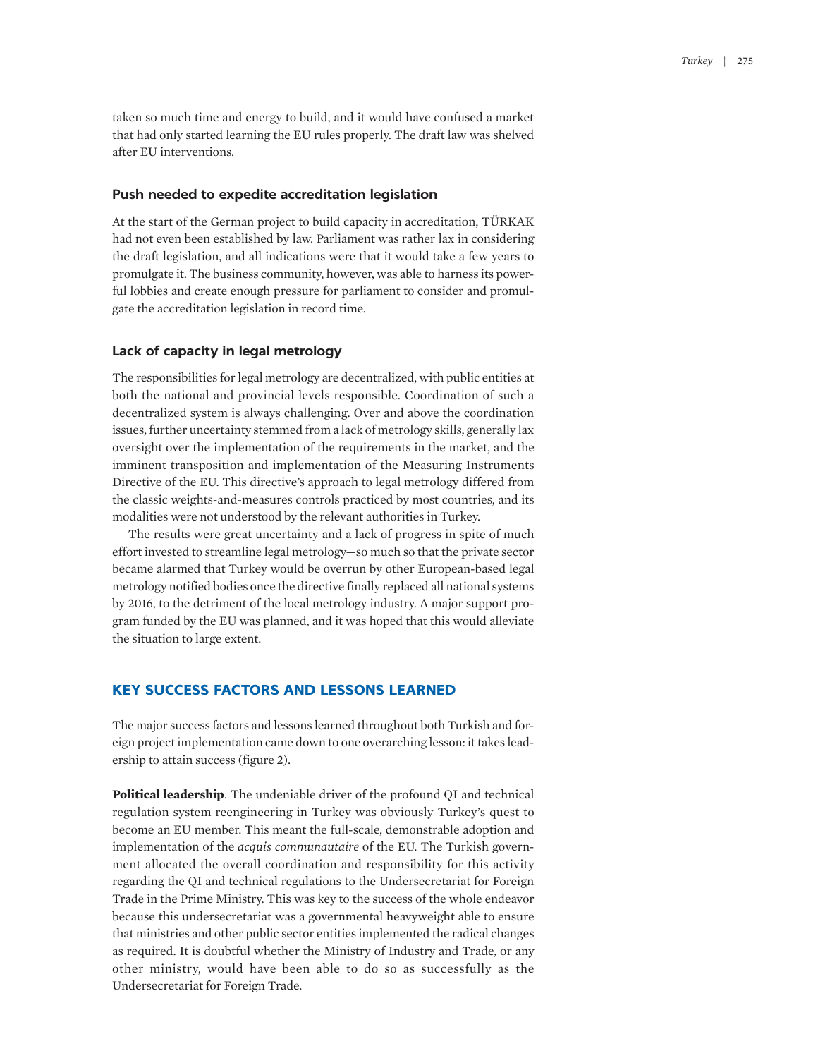taken so much time and energy to build, and it would have confused a market that had only started learning the EU rules properly. The draft law was shelved after EU interventions.

#### **Push needed to expedite accreditation legislation**

At the start of the German project to build capacity in accreditation, TÜRKAK had not even been established by law. Parliament was rather lax in considering the draft legislation, and all indications were that it would take a few years to promulgate it. The business community, however, was able to harness its powerful lobbies and create enough pressure for parliament to consider and promulgate the accreditation legislation in record time.

## **Lack of capacity in legal metrology**

The responsibilities for legal metrology are decentralized, with public entities at both the national and provincial levels responsible. Coordination of such a decentralized system is always challenging. Over and above the coordination issues, further uncertainty stemmed from a lack of metrology skills, generally lax oversight over the implementation of the requirements in the market, and the imminent transposition and implementation of the Measuring Instruments Directive of the EU. This directive's approach to legal metrology differed from the classic weights-and-measures controls practiced by most countries, and its modalities were not understood by the relevant authorities in Turkey.

The results were great uncertainty and a lack of progress in spite of much effort invested to streamline legal metrology—so much so that the private sector became alarmed that Turkey would be overrun by other European-based legal metrology notified bodies once the directive finally replaced all national systems by 2016, to the detriment of the local metrology industry. A major support program funded by the EU was planned, and it was hoped that this would alleviate the situation to large extent.

## **KEY SUCCESS FACTORS AND LESSONS LEARNED**

The major success factors and lessons learned throughout both Turkish and foreign project implementation came down to one overarching lesson: it takes leadership to attain success (figure 2).

**Political leadership**. The undeniable driver of the profound QI and technical regulation system reengineering in Turkey was obviously Turkey's quest to become an EU member. This meant the full-scale, demonstrable adoption and implementation of the *acquis communautaire* of the EU. The Turkish government allocated the overall coordination and responsibility for this activity regarding the QI and technical regulations to the Undersecretariat for Foreign Trade in the Prime Ministry. This was key to the success of the whole endeavor because this undersecretariat was a governmental heavyweight able to ensure that ministries and other public sector entities implemented the radical changes as required. It is doubtful whether the Ministry of Industry and Trade, or any other ministry, would have been able to do so as successfully as the Undersecretariat for Foreign Trade.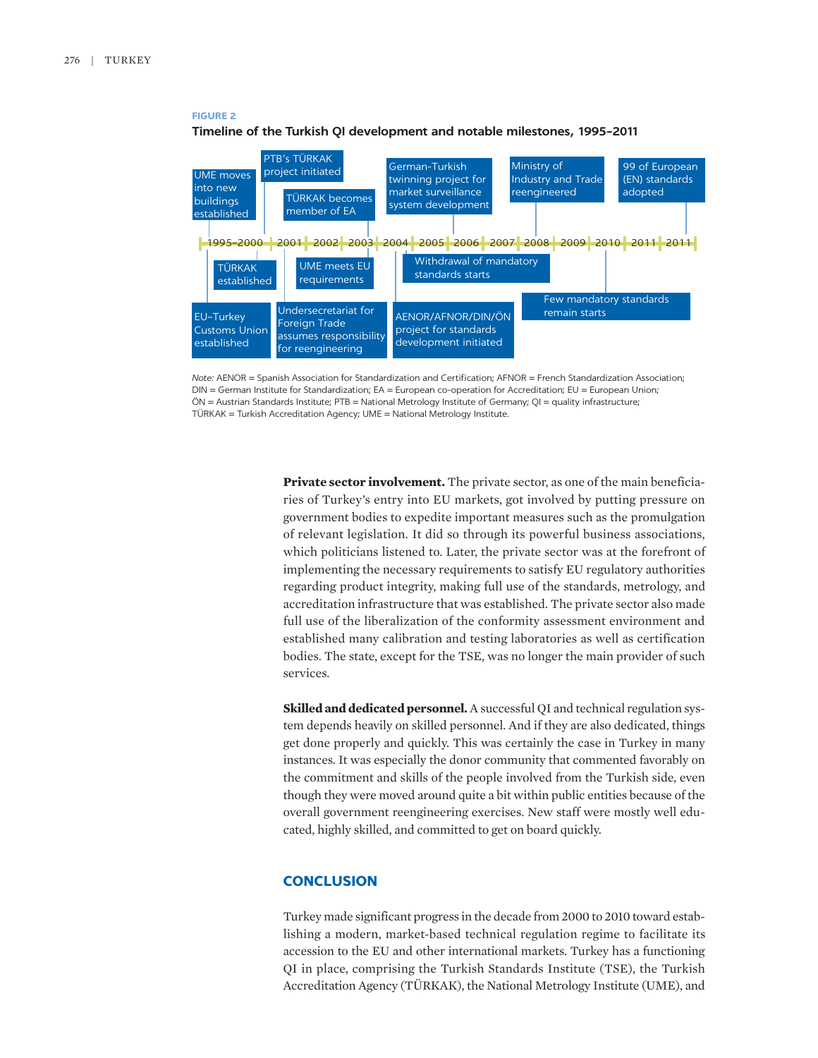## **FIGURE 2**



#### **Timeline of the Turkish QI development and notable milestones, 1995–2011**

*Note:* AENOR = Spanish Association for Standardization and Certification; AFNOR = French Standardization Association; DIN = German Institute for Standardization; EA = European co-operation for Accreditation; EU = European Union; ÖN = Austrian Standards Institute; PTB = National Metrology Institute of Germany; QI = quality infrastructure; TÜRKAK = Turkish Accreditation Agency; UME = National Metrology Institute.

**Private sector involvement.** The private sector, as one of the main beneficiaries of Turkey's entry into EU markets, got involved by putting pressure on government bodies to expedite important measures such as the promulgation of relevant legislation. It did so through its powerful business associations, which politicians listened to. Later, the private sector was at the forefront of implementing the necessary requirements to satisfy EU regulatory authorities regarding product integrity, making full use of the standards, metrology, and accreditation infrastructure that was established. The private sector also made full use of the liberalization of the conformity assessment environment and established many calibration and testing laboratories as well as certification bodies. The state, except for the TSE, was no longer the main provider of such services.

**Skilled and dedicated personnel.** A successful QI and technical regulation system depends heavily on skilled personnel. And if they are also dedicated, things get done properly and quickly. This was certainly the case in Turkey in many instances. It was especially the donor community that commented favorably on the commitment and skills of the people involved from the Turkish side, even though they were moved around quite a bit within public entities because of the overall government reengineering exercises. New staff were mostly well educated, highly skilled, and committed to get on board quickly.

## **CONCLUSION**

Turkey made significant progress in the decade from 2000 to 2010 toward establishing a modern, market-based technical regulation regime to facilitate its accession to the EU and other international markets. Turkey has a functioning QI in place, comprising the Turkish Standards Institute (TSE), the Turkish Accreditation Agency (TÜRKAK), the National Metrology Institute (UME), and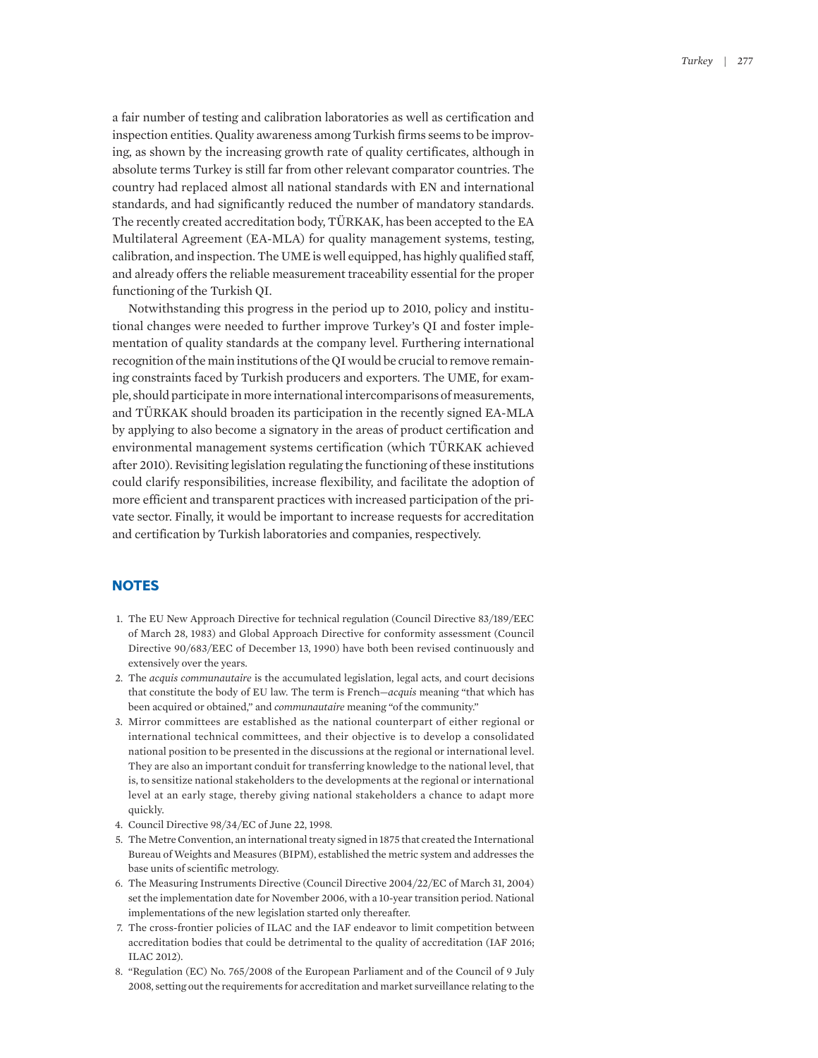a fair number of testing and calibration laboratories as well as certification and inspection entities. Quality awareness among Turkish firms seems to be improving, as shown by the increasing growth rate of quality certificates, although in absolute terms Turkey is still far from other relevant comparator countries. The country had replaced almost all national standards with EN and international standards, and had significantly reduced the number of mandatory standards. The recently created accreditation body, TÜRKAK, has been accepted to the EA Multilateral Agreement (EA-MLA) for quality management systems, testing, calibration, and inspection. The UME is well equipped, has highly qualified staff, and already offers the reliable measurement traceability essential for the proper functioning of the Turkish QI.

Notwithstanding this progress in the period up to 2010, policy and institutional changes were needed to further improve Turkey's QI and foster implementation of quality standards at the company level. Furthering international recognition of the main institutions of the QI would be crucial to remove remaining constraints faced by Turkish producers and exporters. The UME, for example, should participate in more international intercomparisons of measurements, and TÜRKAK should broaden its participation in the recently signed EA-MLA by applying to also become a signatory in the areas of product certification and environmental management systems certification (which TÜRKAK achieved after 2010). Revisiting legislation regulating the functioning of these institutions could clarify responsibilities, increase flexibility, and facilitate the adoption of more efficient and transparent practices with increased participation of the private sector. Finally, it would be important to increase requests for accreditation and certification by Turkish laboratories and companies, respectively.

## **NOTES**

- 1. The EU New Approach Directive for technical regulation (Council Directive 83/189/EEC of March 28, 1983) and Global Approach Directive for conformity assessment (Council Directive 90/683/EEC of December 13, 1990) have both been revised continuously and extensively over the years.
- 2. The *acquis communautaire* is the accumulated legislation, legal acts, and court decisions that constitute the body of EU law. The term is French—*acquis* meaning "that which has been acquired or obtained," and *communautaire* meaning "of the community."
- 3. Mirror committees are established as the national counterpart of either regional or international technical committees, and their objective is to develop a consolidated national position to be presented in the discussions at the regional or international level. They are also an important conduit for transferring knowledge to the national level, that is, to sensitize national stakeholders to the developments at the regional or international level at an early stage, thereby giving national stakeholders a chance to adapt more quickly.
- 4. Council Directive 98/34/EC of June 22, 1998.
- 5. The Metre Convention, an international treaty signed in 1875 that created the International Bureau of Weights and Measures (BIPM), established the metric system and addresses the base units of scientific metrology.
- 6. The Measuring Instruments Directive (Council Directive 2004/22/EC of March 31, 2004) set the implementation date for November 2006, with a 10-year transition period. National implementations of the new legislation started only thereafter.
- 7. The cross-frontier policies of ILAC and the IAF endeavor to limit competition between accreditation bodies that could be detrimental to the quality of accreditation (IAF 2016; ILAC 2012).
- 8. "Regulation (EC) No. 765/2008 of the European Parliament and of the Council of 9 July 2008, setting out the requirements for accreditation and market surveillance relating to the